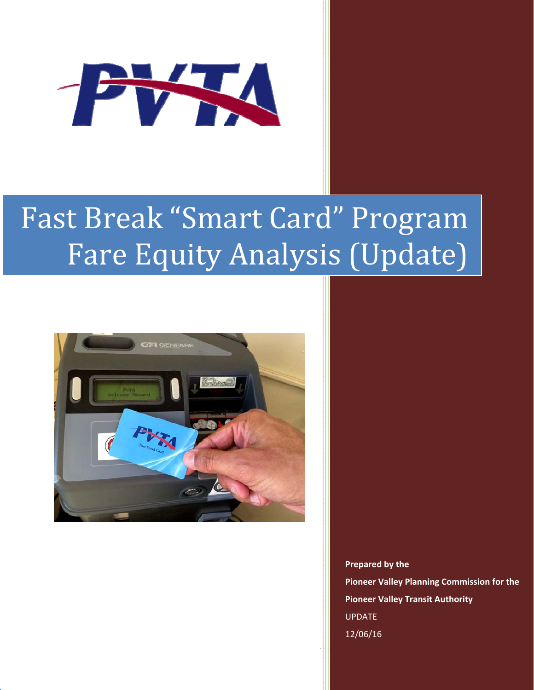

# Fast Break "Smart Card" Program Fare Equity Analysis (Update)

Fast Break Card Equity Analysis 1 12/06/2016 Update



**Prepared by the Pioneer Valley Planning Commission for the Pioneer Valley Transit Authority** UPDATE 12/06/16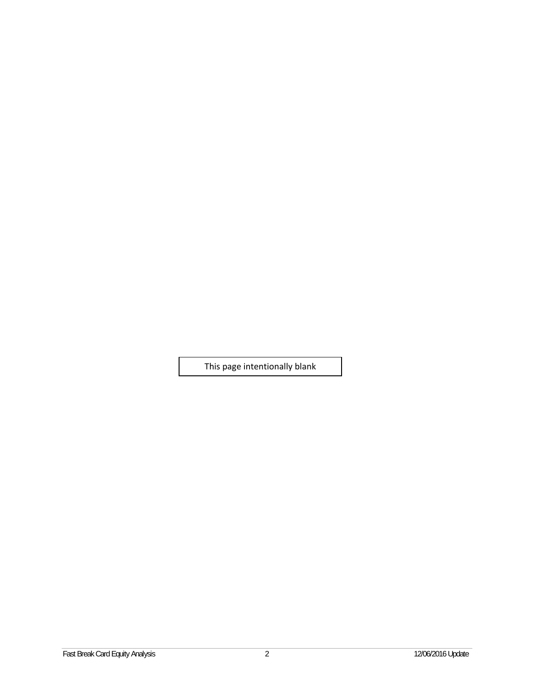This page intentionally blank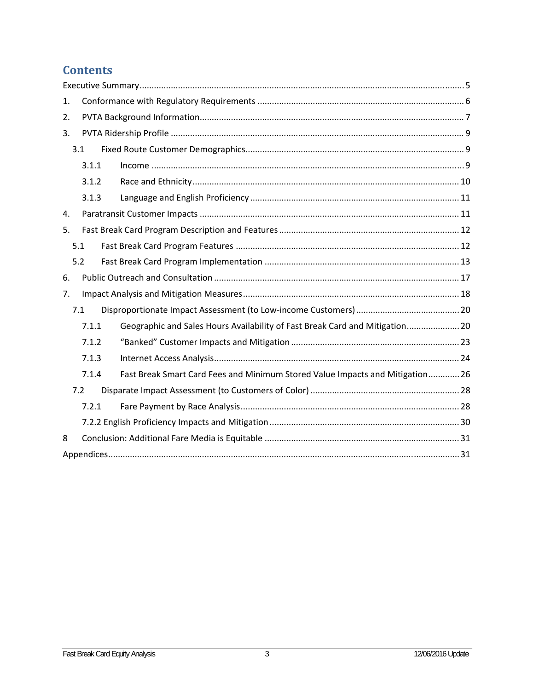# **Contents**

| $\mathbf{1}$ .                                                                         |  |
|----------------------------------------------------------------------------------------|--|
| 2.                                                                                     |  |
| 3.                                                                                     |  |
| 3.1                                                                                    |  |
| 3.1.1                                                                                  |  |
| 3.1.2                                                                                  |  |
| 3.1.3                                                                                  |  |
| 4.                                                                                     |  |
| 5.                                                                                     |  |
| 5.1                                                                                    |  |
| 5.2                                                                                    |  |
| 6.                                                                                     |  |
| 7.                                                                                     |  |
| 7.1                                                                                    |  |
| Geographic and Sales Hours Availability of Fast Break Card and Mitigation 20<br>7.1.1  |  |
| 7.1.2                                                                                  |  |
| 7.1.3                                                                                  |  |
| Fast Break Smart Card Fees and Minimum Stored Value Impacts and Mitigation 26<br>7.1.4 |  |
| 7.2                                                                                    |  |
| 7.2.1                                                                                  |  |
|                                                                                        |  |
| 8                                                                                      |  |
|                                                                                        |  |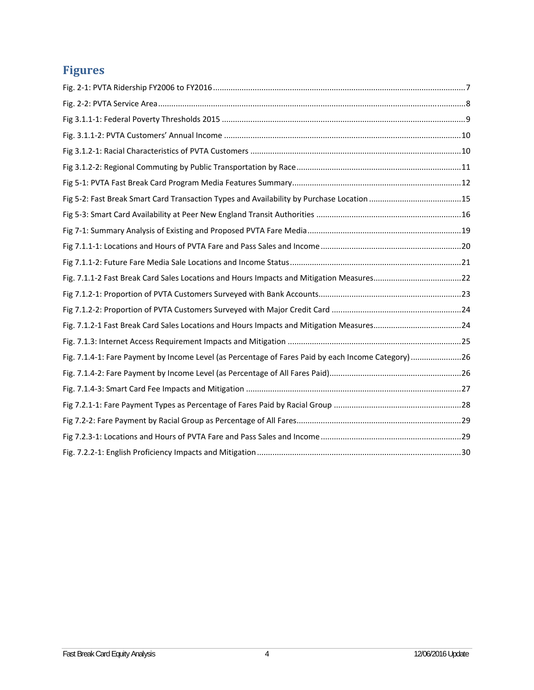# **Figures**

| Fig. 7.1.4-1: Fare Payment by Income Level (as Percentage of Fares Paid by each Income Category)26 |  |
|----------------------------------------------------------------------------------------------------|--|
|                                                                                                    |  |
|                                                                                                    |  |
|                                                                                                    |  |
|                                                                                                    |  |
|                                                                                                    |  |
|                                                                                                    |  |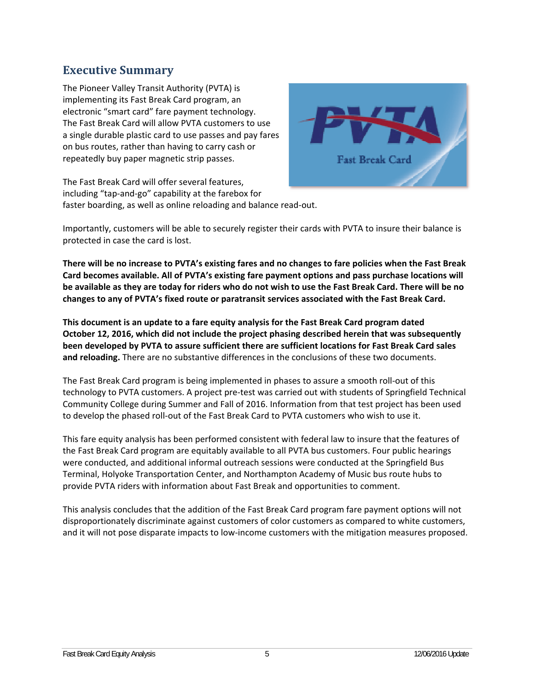# **Executive Summary**

The Pioneer Valley Transit Authority (PVTA) is implementing its Fast Break Card program, an electronic "smart card" fare payment technology. The Fast Break Card will allow PVTA customers to use a single durable plastic card to use passes and pay fares on bus routes, rather than having to carry cash or repeatedly buy paper magnetic strip passes.



The Fast Break Card will offer several features, including "tap‐and‐go" capability at the farebox for faster boarding, as well as online reloading and balance read‐out.

Importantly, customers will be able to securely register their cards with PVTA to insure their balance is protected in case the card is lost.

There will be no increase to PVTA's existing fares and no changes to fare policies when the Fast Break **Card becomes available. All of PVTA's existing fare payment options and pass purchase locations will** be available as they are today for riders who do not wish to use the Fast Break Card. There will be no **changes to any of PVTA's fixed route or paratransit services associated with the Fast Break Card.**

**This document is an update to a fare equity analysis for the Fast Break Card program dated October 12, 2016, which did not include the project phasing described herein that was subsequently been developed by PVTA to assure sufficient there are sufficient locations for Fast Break Card sales and reloading.** There are no substantive differences in the conclusions of these two documents.

The Fast Break Card program is being implemented in phases to assure a smooth roll‐out of this technology to PVTA customers. A project pre‐test was carried out with students of Springfield Technical Community College during Summer and Fall of 2016. Information from that test project has been used to develop the phased roll‐out of the Fast Break Card to PVTA customers who wish to use it.

This fare equity analysis has been performed consistent with federal law to insure that the features of the Fast Break Card program are equitably available to all PVTA bus customers. Four public hearings were conducted, and additional informal outreach sessions were conducted at the Springfield Bus Terminal, Holyoke Transportation Center, and Northampton Academy of Music bus route hubs to provide PVTA riders with information about Fast Break and opportunities to comment.

This analysis concludes that the addition of the Fast Break Card program fare payment options will not disproportionately discriminate against customers of color customers as compared to white customers, and it will not pose disparate impacts to low-income customers with the mitigation measures proposed.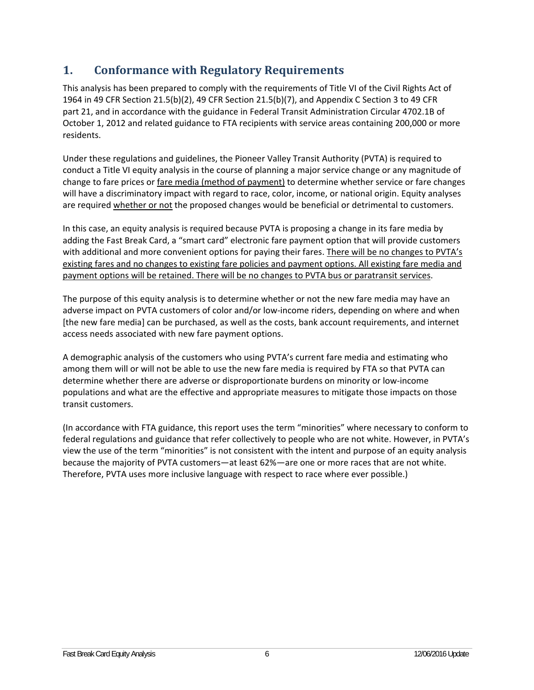# **1. Conformance with Regulatory Requirements**

This analysis has been prepared to comply with the requirements of Title VI of the Civil Rights Act of 1964 in 49 CFR Section 21.5(b)(2), 49 CFR Section 21.5(b)(7), and Appendix C Section 3 to 49 CFR part 21, and in accordance with the guidance in Federal Transit Administration Circular 4702.1B of October 1, 2012 and related guidance to FTA recipients with service areas containing 200,000 or more residents.

Under these regulations and guidelines, the Pioneer Valley Transit Authority (PVTA) is required to conduct a Title VI equity analysis in the course of planning a major service change or any magnitude of change to fare prices or fare media (method of payment) to determine whether service or fare changes will have a discriminatory impact with regard to race, color, income, or national origin. Equity analyses are required whether or not the proposed changes would be beneficial or detrimental to customers.

In this case, an equity analysis is required because PVTA is proposing a change in its fare media by adding the Fast Break Card, a "smart card" electronic fare payment option that will provide customers with additional and more convenient options for paying their fares. There will be no changes to PVTA's existing fares and no changes to existing fare policies and payment options. All existing fare media and payment options will be retained. There will be no changes to PVTA bus or paratransit services.

The purpose of this equity analysis is to determine whether or not the new fare media may have an adverse impact on PVTA customers of color and/or low‐income riders, depending on where and when [the new fare media] can be purchased, as well as the costs, bank account requirements, and internet access needs associated with new fare payment options.

A demographic analysis of the customers who using PVTA's current fare media and estimating who among them will or will not be able to use the new fare media is required by FTA so that PVTA can determine whether there are adverse or disproportionate burdens on minority or low‐income populations and what are the effective and appropriate measures to mitigate those impacts on those transit customers.

(In accordance with FTA guidance, this report uses the term "minorities" where necessary to conform to federal regulations and guidance that refer collectively to people who are not white. However, in PVTA's view the use of the term "minorities" is not consistent with the intent and purpose of an equity analysis because the majority of PVTA customers—at least 62%—are one or more races that are not white. Therefore, PVTA uses more inclusive language with respect to race where ever possible.)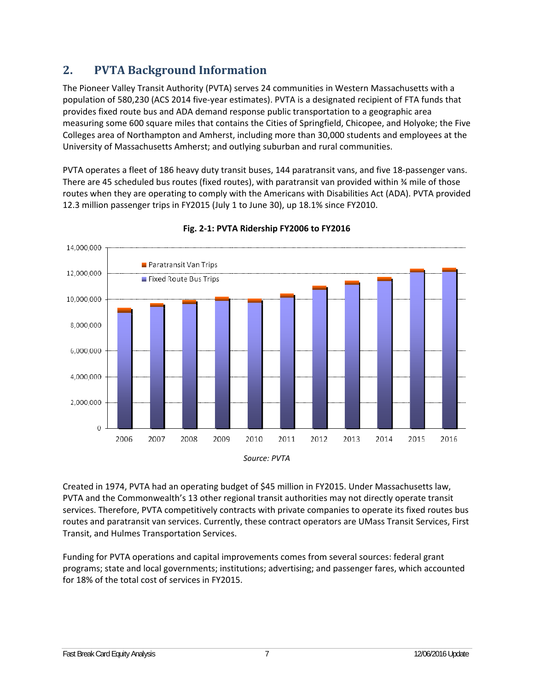# **2. PVTA Background Information**

The Pioneer Valley Transit Authority (PVTA) serves 24 communities in Western Massachusetts with a population of 580,230 (ACS 2014 five-year estimates). PVTA is a designated recipient of FTA funds that provides fixed route bus and ADA demand response public transportation to a geographic area measuring some 600 square miles that contains the Cities of Springfield, Chicopee, and Holyoke; the Five Colleges area of Northampton and Amherst, including more than 30,000 students and employees at the University of Massachusetts Amherst; and outlying suburban and rural communities.

PVTA operates a fleet of 186 heavy duty transit buses, 144 paratransit vans, and five 18‐passenger vans. There are 45 scheduled bus routes (fixed routes), with paratransit van provided within ¾ mile of those routes when they are operating to comply with the Americans with Disabilities Act (ADA). PVTA provided 12.3 million passenger trips in FY2015 (July 1 to June 30), up 18.1% since FY2010.



**Fig. 2‐1: PVTA Ridership FY2006 to FY2016**

Created in 1974, PVTA had an operating budget of \$45 million in FY2015. Under Massachusetts law, PVTA and the Commonwealth's 13 other regional transit authorities may not directly operate transit services. Therefore, PVTA competitively contracts with private companies to operate its fixed routes bus routes and paratransit van services. Currently, these contract operators are UMass Transit Services, First Transit, and Hulmes Transportation Services.

Funding for PVTA operations and capital improvements comes from several sources: federal grant programs; state and local governments; institutions; advertising; and passenger fares, which accounted for 18% of the total cost of services in FY2015.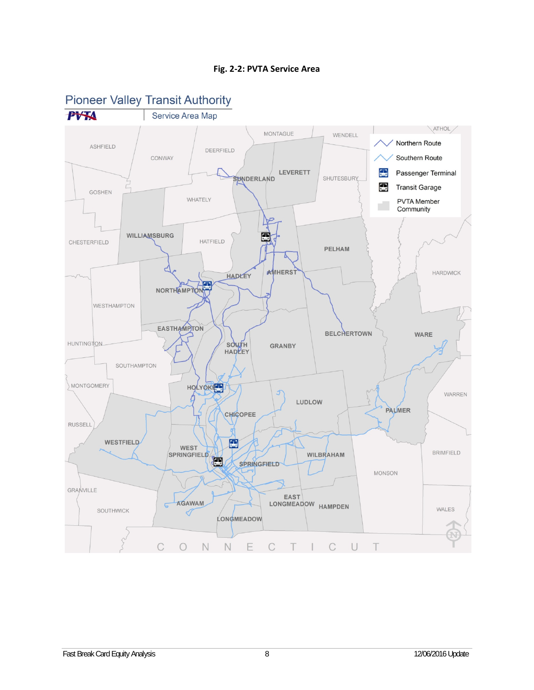

#### **Pioneer Valley Transit Authority PVTA** Service Area Map ATHOL/ MONTAGUE WENDELL Northern Route ASHFIELD DEERFIELD CONWAY Southern Route LEVERETT  $\blacksquare$ Passenger Terminal **SUNDERLAND** SHUTESBURY O **Transit Garage** GOSHEN WHATELY PVTA Member<br>Community **WILLIAMSBURG** ē **HATFIELD** CHESTERFIELD PELHAM AMHERST **HARDWICK HADLEY** NORTHAMPTON WESTHAMPTON **EASTHAMPTON BELCHERTOWN WARE HUNTINGTON** SOUTH **GRANBY** SOUTHAMPTON MONTGOMERY HOLYOK **WARREN** LUDLOW **PALMER CHICOPEE RUSSELL WESTFIELD** 團 WEST **BRIMFIELD WILBRAHAM** 置 **SPRINGFIELD MONSON** GRANVILLE EAST LONGMEADOW HAMPDEN AGAWAM WALES SOUTHWICK LONGMEADOW  $N$ E  $\mathbb N$ C C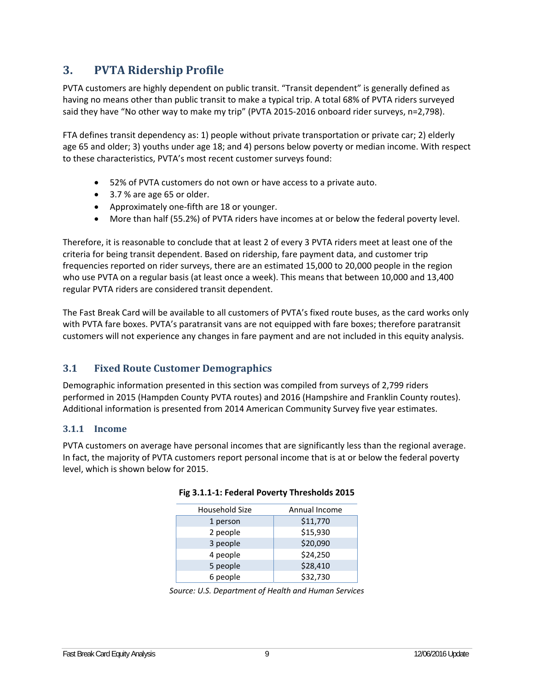# **3. PVTA Ridership Profile**

PVTA customers are highly dependent on public transit. "Transit dependent" is generally defined as having no means other than public transit to make a typical trip. A total 68% of PVTA riders surveyed said they have "No other way to make my trip" (PVTA 2015-2016 onboard rider surveys, n=2,798).

FTA defines transit dependency as: 1) people without private transportation or private car; 2) elderly age 65 and older; 3) youths under age 18; and 4) persons below poverty or median income. With respect to these characteristics, PVTA's most recent customer surveys found:

- 52% of PVTA customers do not own or have access to a private auto.
- 3.7 % are age 65 or older.
- Approximately one-fifth are 18 or younger.
- More than half (55.2%) of PVTA riders have incomes at or below the federal poverty level.

Therefore, it is reasonable to conclude that at least 2 of every 3 PVTA riders meet at least one of the criteria for being transit dependent. Based on ridership, fare payment data, and customer trip frequencies reported on rider surveys, there are an estimated 15,000 to 20,000 people in the region who use PVTA on a regular basis (at least once a week). This means that between 10,000 and 13,400 regular PVTA riders are considered transit dependent.

The Fast Break Card will be available to all customers of PVTA's fixed route buses, as the card works only with PVTA fare boxes. PVTA's paratransit vans are not equipped with fare boxes; therefore paratransit customers will not experience any changes in fare payment and are not included in this equity analysis.

## **3.1 Fixed Route Customer Demographics**

Demographic information presented in this section was compiled from surveys of 2,799 riders performed in 2015 (Hampden County PVTA routes) and 2016 (Hampshire and Franklin County routes). Additional information is presented from 2014 American Community Survey five year estimates.

#### **3.1.1 Income**

PVTA customers on average have personal incomes that are significantly less than the regional average. In fact, the majority of PVTA customers report personal income that is at or below the federal poverty level, which is shown below for 2015.

| Household Size | Annual Income |
|----------------|---------------|
| 1 person       | \$11,770      |
| 2 people       | \$15,930      |
| 3 people       | \$20,090      |
| 4 people       | \$24,250      |
| 5 people       | \$28,410      |
| 6 people       | \$32,730      |

#### **Fig 3.1.1‐1: Federal Poverty Thresholds 2015**

*Source: U.S. Department of Health and Human Services*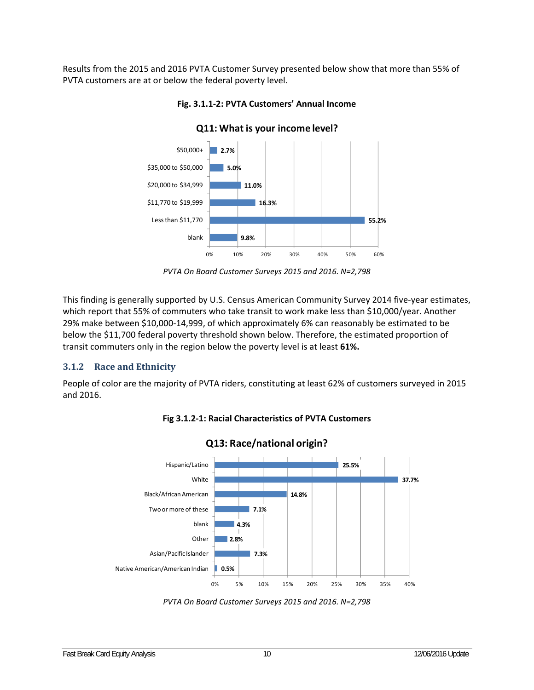Results from the 2015 and 2016 PVTA Customer Survey presented below show that more than 55% of PVTA customers are at or below the federal poverty level.



#### **Fig. 3.1.1‐2: PVTA Customers' Annual Income**

**Q11: What is your income level?**

This finding is generally supported by U.S. Census American Community Survey 2014 five-year estimates, which report that 55% of commuters who take transit to work make less than \$10,000/year. Another 29% make between \$10,000‐14,999, of which approximately 6% can reasonably be estimated to be below the \$11,700 federal poverty threshold shown below. Therefore, the estimated proportion of transit commuters only in the region below the poverty level is at least **61%.**

## **3.1.2 Race and Ethnicity**

People of color are the majority of PVTA riders, constituting at least 62% of customers surveyed in 2015 and 2016.



## **Fig 3.1.2‐1: Racial Characteristics of PVTA Customers**

*PVTA On Board Customer Surveys 2015 and 2016. N=2,798*

*PVTA On Board Customer Surveys 2015 and 2016. N=2,798*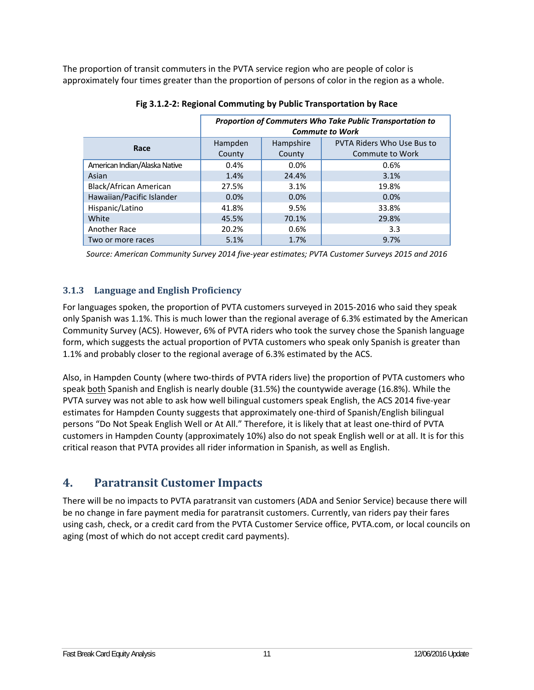The proportion of transit commuters in the PVTA service region who are people of color is approximately four times greater than the proportion of persons of color in the region as a whole.

|                               | Proportion of Commuters Who Take Public Transportation to<br><b>Commute to Work</b> |                     |                                                      |  |  |  |  |  |
|-------------------------------|-------------------------------------------------------------------------------------|---------------------|------------------------------------------------------|--|--|--|--|--|
| Race                          | Hampden<br>County                                                                   | Hampshire<br>County | <b>PVTA Riders Who Use Bus to</b><br>Commute to Work |  |  |  |  |  |
| American Indian/Alaska Native | 0.4%                                                                                | 0.0%                | 0.6%                                                 |  |  |  |  |  |
| Asian                         | 1.4%                                                                                | 24.4%               | 3.1%                                                 |  |  |  |  |  |
| Black/African American        | 27.5%                                                                               | 3.1%                | 19.8%                                                |  |  |  |  |  |
| Hawaiian/Pacific Islander     | $0.0\%$                                                                             | 0.0%                | 0.0%                                                 |  |  |  |  |  |
| Hispanic/Latino               | 41.8%                                                                               | 9.5%                | 33.8%                                                |  |  |  |  |  |
| White                         | 45.5%                                                                               | 70.1%               | 29.8%                                                |  |  |  |  |  |
| Another Race                  | 20.2%                                                                               | 0.6%                | 3.3                                                  |  |  |  |  |  |
| Two or more races             | 5.1%                                                                                | 1.7%                | 9.7%                                                 |  |  |  |  |  |

**Fig 3.1.2‐2: Regional Commuting by Public Transportation by Race**

*Source: American Community Survey 2014 five‐year estimates; PVTA Customer Surveys 2015 and 2016* 

# **3.1.3 Language and English Proficiency**

For languages spoken, the proportion of PVTA customers surveyed in 2015‐2016 who said they speak only Spanish was 1.1%. This is much lower than the regional average of 6.3% estimated by the American Community Survey (ACS). However, 6% of PVTA riders who took the survey chose the Spanish language form, which suggests the actual proportion of PVTA customers who speak only Spanish is greater than 1.1% and probably closer to the regional average of 6.3% estimated by the ACS.

Also, in Hampden County (where two‐thirds of PVTA riders live) the proportion of PVTA customers who speak both Spanish and English is nearly double (31.5%) the countywide average (16.8%). While the PVTA survey was not able to ask how well bilingual customers speak English, the ACS 2014 five‐year estimates for Hampden County suggests that approximately one‐third of Spanish/English bilingual persons "Do Not Speak English Well or At All." Therefore, it is likely that at least one‐third of PVTA customers in Hampden County (approximately 10%) also do not speak English well or at all. It is for this critical reason that PVTA provides all rider information in Spanish, as well as English.

# **4. Paratransit Customer Impacts**

There will be no impacts to PVTA paratransit van customers (ADA and Senior Service) because there will be no change in fare payment media for paratransit customers. Currently, van riders pay their fares using cash, check, or a credit card from the PVTA Customer Service office, PVTA.com, or local councils on aging (most of which do not accept credit card payments).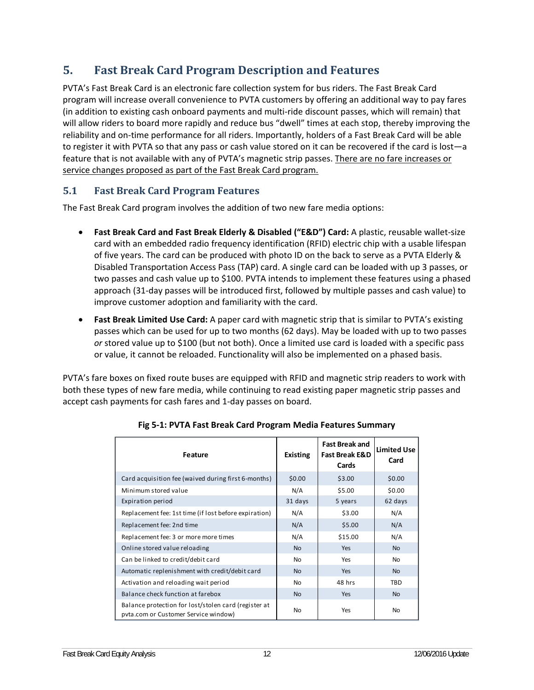# **5. Fast Break Card Program Description and Features**

PVTA's Fast Break Card is an electronic fare collection system for bus riders. The Fast Break Card program will increase overall convenience to PVTA customers by offering an additional way to pay fares (in addition to existing cash onboard payments and multi‐ride discount passes, which will remain) that will allow riders to board more rapidly and reduce bus "dwell" times at each stop, thereby improving the reliability and on‐time performance for all riders. Importantly, holders of a Fast Break Card will be able to register it with PVTA so that any pass or cash value stored on it can be recovered if the card is lost—a feature that is not available with any of PVTA's magnetic strip passes. There are no fare increases or service changes proposed as part of the Fast Break Card program.

## **5.1 Fast Break Card Program Features**

The Fast Break Card program involves the addition of two new fare media options:

- **Fast Break Card and Fast Break Elderly & Disabled ("E&D") Card:** A plastic, reusable wallet‐size card with an embedded radio frequency identification (RFID) electric chip with a usable lifespan of five years. The card can be produced with photo ID on the back to serve as a PVTA Elderly & Disabled Transportation Access Pass (TAP) card. A single card can be loaded with up 3 passes, or two passes and cash value up to \$100. PVTA intends to implement these features using a phased approach (31‐day passes will be introduced first, followed by multiple passes and cash value) to improve customer adoption and familiarity with the card.
- **Fast Break Limited Use Card:** A paper card with magnetic strip that is similar to PVTA's existing passes which can be used for up to two months (62 days). May be loaded with up to two passes *or* stored value up to \$100 (but not both). Once a limited use card is loaded with a specific pass or value, it cannot be reloaded. Functionality will also be implemented on a phased basis.

PVTA's fare boxes on fixed route buses are equipped with RFID and magnetic strip readers to work with both these types of new fare media, while continuing to read existing paper magnetic strip passes and accept cash payments for cash fares and 1‐day passes on board.

| Feature                                                                                      | <b>Existing</b> | <b>Fast Break and</b><br><b>Fast Break E&amp;D</b><br>Cards | <b>Limited Use</b><br>Card |
|----------------------------------------------------------------------------------------------|-----------------|-------------------------------------------------------------|----------------------------|
| Card acquisition fee (waived during first 6-months)                                          | \$0.00          | \$3.00                                                      | \$0.00                     |
| Minimum stored value                                                                         | N/A             | \$5.00                                                      | \$0.00                     |
| Expiration period                                                                            | 31 days         | 5 years                                                     | 62 days                    |
| Replacement fee: 1st time (if lost before expiration)                                        | N/A             | \$3.00                                                      | N/A                        |
| Replacement fee: 2nd time                                                                    | N/A             | \$5.00                                                      | N/A                        |
| Replacement fee: 3 or more more times                                                        | N/A             | \$15.00                                                     | N/A                        |
| Online stored value reloading                                                                | <b>No</b>       | Yes                                                         | <b>No</b>                  |
| Can be linked to credit/debit card                                                           | <b>No</b>       | Yes                                                         | <b>No</b>                  |
| Automatic replenishment with credit/debit card                                               | <b>No</b>       | Yes                                                         | <b>No</b>                  |
| Activation and reloading wait period                                                         | <b>No</b>       | 48 hrs                                                      | <b>TBD</b>                 |
| Balance check function at farebox                                                            | <b>No</b>       | Yes                                                         | N <sub>0</sub>             |
| Balance protection for lost/stolen card (register at<br>pyta.com or Customer Service window) | <b>No</b>       | Yes                                                         | No.                        |

**Fig 5‐1: PVTA Fast Break Card Program Media Features Summary**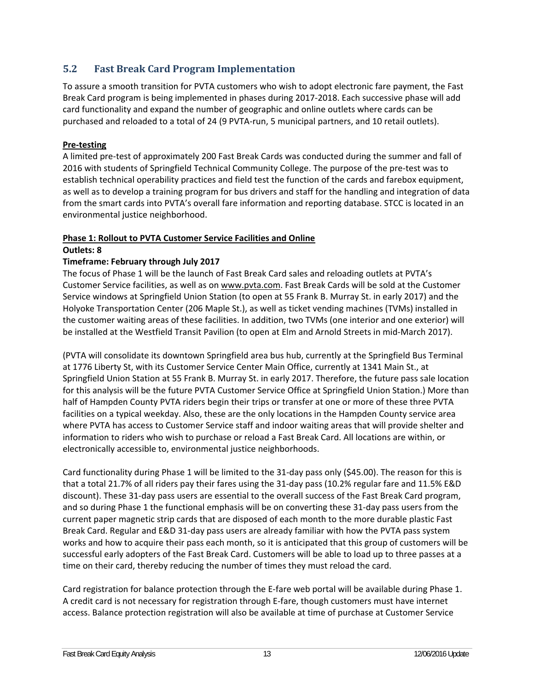## **5.2 Fast Break Card Program Implementation**

To assure a smooth transition for PVTA customers who wish to adopt electronic fare payment, the Fast Break Card program is being implemented in phases during 2017‐2018. Each successive phase will add card functionality and expand the number of geographic and online outlets where cards can be purchased and reloaded to a total of 24 (9 PVTA‐run, 5 municipal partners, and 10 retail outlets).

### **Pre‐testing**

A limited pre‐test of approximately 200 Fast Break Cards was conducted during the summer and fall of 2016 with students of Springfield Technical Community College. The purpose of the pre‐test was to establish technical operability practices and field test the function of the cards and farebox equipment, as well as to develop a training program for bus drivers and staff for the handling and integration of data from the smart cards into PVTA's overall fare information and reporting database. STCC is located in an environmental justice neighborhood.

#### **Phase 1: Rollout to PVTA Customer Service Facilities and Online**

#### **Outlets: 8**

#### **Timeframe: February through July 2017**

The focus of Phase 1 will be the launch of Fast Break Card sales and reloading outlets at PVTA's Customer Service facilities, as well as on www.pvta.com. Fast Break Cards will be sold at the Customer Service windows at Springfield Union Station (to open at 55 Frank B. Murray St. in early 2017) and the Holyoke Transportation Center (206 Maple St.), as well as ticket vending machines (TVMs) installed in the customer waiting areas of these facilities. In addition, two TVMs (one interior and one exterior) will be installed at the Westfield Transit Pavilion (to open at Elm and Arnold Streets in mid-March 2017).

(PVTA will consolidate its downtown Springfield area bus hub, currently at the Springfield Bus Terminal at 1776 Liberty St, with its Customer Service Center Main Office, currently at 1341 Main St., at Springfield Union Station at 55 Frank B. Murray St. in early 2017. Therefore, the future pass sale location for this analysis will be the future PVTA Customer Service Office at Springfield Union Station.) More than half of Hampden County PVTA riders begin their trips or transfer at one or more of these three PVTA facilities on a typical weekday. Also, these are the only locations in the Hampden County service area where PVTA has access to Customer Service staff and indoor waiting areas that will provide shelter and information to riders who wish to purchase or reload a Fast Break Card. All locations are within, or electronically accessible to, environmental justice neighborhoods.

Card functionality during Phase 1 will be limited to the 31‐day pass only (\$45.00). The reason for this is that a total 21.7% of all riders pay their fares using the 31-day pass (10.2% regular fare and 11.5% E&D discount). These 31‐day pass users are essential to the overall success of the Fast Break Card program, and so during Phase 1 the functional emphasis will be on converting these 31‐day pass users from the current paper magnetic strip cards that are disposed of each month to the more durable plastic Fast Break Card. Regular and E&D 31‐day pass users are already familiar with how the PVTA pass system works and how to acquire their pass each month, so it is anticipated that this group of customers will be successful early adopters of the Fast Break Card. Customers will be able to load up to three passes at a time on their card, thereby reducing the number of times they must reload the card.

Card registration for balance protection through the E-fare web portal will be available during Phase 1. A credit card is not necessary for registration through E‐fare, though customers must have internet access. Balance protection registration will also be available at time of purchase at Customer Service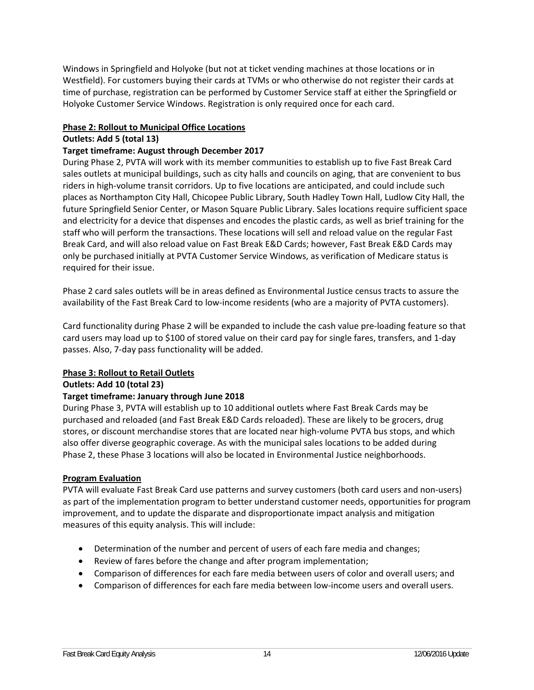Windows in Springfield and Holyoke (but not at ticket vending machines at those locations or in Westfield). For customers buying their cards at TVMs or who otherwise do not register their cards at time of purchase, registration can be performed by Customer Service staff at either the Springfield or Holyoke Customer Service Windows. Registration is only required once for each card.

#### **Phase 2: Rollout to Municipal Office Locations**

#### **Outlets: Add 5 (total 13)**

#### **Target timeframe: August through December 2017**

During Phase 2, PVTA will work with its member communities to establish up to five Fast Break Card sales outlets at municipal buildings, such as city halls and councils on aging, that are convenient to bus riders in high‐volume transit corridors. Up to five locations are anticipated, and could include such places as Northampton City Hall, Chicopee Public Library, South Hadley Town Hall, Ludlow City Hall, the future Springfield Senior Center, or Mason Square Public Library. Sales locations require sufficient space and electricity for a device that dispenses and encodes the plastic cards, as well as brief training for the staff who will perform the transactions. These locations will sell and reload value on the regular Fast Break Card, and will also reload value on Fast Break E&D Cards; however, Fast Break E&D Cards may only be purchased initially at PVTA Customer Service Windows, as verification of Medicare status is required for their issue.

Phase 2 card sales outlets will be in areas defined as Environmental Justice census tracts to assure the availability of the Fast Break Card to low‐income residents (who are a majority of PVTA customers).

Card functionality during Phase 2 will be expanded to include the cash value pre‐loading feature so that card users may load up to \$100 of stored value on their card pay for single fares, transfers, and 1‐day passes. Also, 7‐day pass functionality will be added.

#### **Phase 3: Rollout to Retail Outlets**

#### **Outlets: Add 10 (total 23)**

#### **Target timeframe: January through June 2018**

During Phase 3, PVTA will establish up to 10 additional outlets where Fast Break Cards may be purchased and reloaded (and Fast Break E&D Cards reloaded). These are likely to be grocers, drug stores, or discount merchandise stores that are located near high‐volume PVTA bus stops, and which also offer diverse geographic coverage. As with the municipal sales locations to be added during Phase 2, these Phase 3 locations will also be located in Environmental Justice neighborhoods.

#### **Program Evaluation**

PVTA will evaluate Fast Break Card use patterns and survey customers (both card users and non‐users) as part of the implementation program to better understand customer needs, opportunities for program improvement, and to update the disparate and disproportionate impact analysis and mitigation measures of this equity analysis. This will include:

- Determination of the number and percent of users of each fare media and changes;
- Review of fares before the change and after program implementation;
- Comparison of differences for each fare media between users of color and overall users; and
- Comparison of differences for each fare media between low-income users and overall users.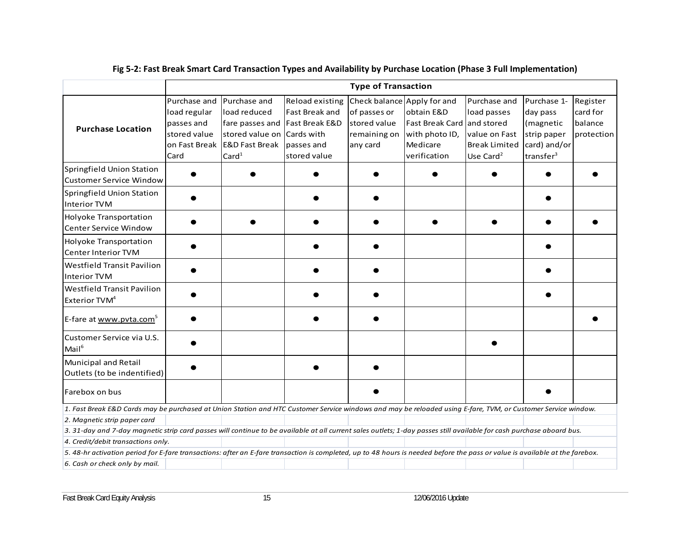|                                                                                                                                                                              | <b>Type of Transaction</b> |                                |                 |                             |                        |                       |                       |            |
|------------------------------------------------------------------------------------------------------------------------------------------------------------------------------|----------------------------|--------------------------------|-----------------|-----------------------------|------------------------|-----------------------|-----------------------|------------|
|                                                                                                                                                                              | Purchase and               | Purchase and                   | Reload existing | Check balance Apply for and |                        | Purchase and          | Purchase 1-           | Register   |
|                                                                                                                                                                              | load regular               | load reduced                   | Fast Break and  | of passes or                | obtain E&D             | load passes           | day pass              | card for   |
|                                                                                                                                                                              | passes and                 | fare passes and Fast Break E&D |                 | stored value                | <b>Fast Break Card</b> | and stored            | (magnetic             | balance    |
| <b>Purchase Location</b>                                                                                                                                                     | stored value               | stored value on Cards with     |                 | remaining on                | with photo ID,         | value on Fast         | strip paper           | protection |
|                                                                                                                                                                              | on Fast Break              | <b>E&amp;D Fast Break</b>      | passes and      | any card                    | Medicare               | <b>Break Limited</b>  | card) and/or          |            |
|                                                                                                                                                                              | Card                       | Card <sup>1</sup>              | stored value    |                             | verification           | Use Card <sup>2</sup> | transfer <sup>3</sup> |            |
| Springfield Union Station                                                                                                                                                    |                            |                                |                 |                             |                        |                       |                       |            |
| <b>Customer Service Window</b>                                                                                                                                               |                            |                                |                 |                             |                        |                       |                       |            |
| Springfield Union Station<br><b>Interior TVM</b>                                                                                                                             |                            |                                |                 |                             |                        |                       |                       |            |
| Holyoke Transportation                                                                                                                                                       |                            |                                |                 |                             |                        |                       |                       |            |
| Center Service Window                                                                                                                                                        |                            |                                |                 |                             |                        |                       |                       |            |
| <b>Holyoke Transportation</b>                                                                                                                                                |                            |                                |                 |                             |                        |                       |                       |            |
| <b>Center Interior TVM</b>                                                                                                                                                   |                            |                                |                 |                             |                        |                       |                       |            |
| <b>Westfield Transit Pavilion</b>                                                                                                                                            |                            |                                |                 |                             |                        |                       |                       |            |
| <b>Interior TVM</b>                                                                                                                                                          |                            |                                |                 |                             |                        |                       |                       |            |
| <b>Westfield Transit Pavilion</b>                                                                                                                                            |                            |                                |                 |                             |                        |                       |                       |            |
| Exterior TVM <sup>4</sup>                                                                                                                                                    |                            |                                |                 |                             |                        |                       |                       |            |
| E-fare at www.pvta.com <sup>5</sup>                                                                                                                                          |                            |                                |                 |                             |                        |                       |                       |            |
| Customer Service via U.S.                                                                                                                                                    |                            |                                |                 |                             |                        |                       |                       |            |
| Mail <sup>6</sup>                                                                                                                                                            |                            |                                |                 |                             |                        |                       |                       |            |
| Municipal and Retail                                                                                                                                                         |                            |                                |                 |                             |                        |                       |                       |            |
| Outlets (to be indentified)                                                                                                                                                  |                            |                                |                 |                             |                        |                       |                       |            |
| Farebox on bus                                                                                                                                                               |                            |                                |                 |                             |                        |                       |                       |            |
| 1. Fast Break E&D Cards may be purchased at Union Station and HTC Customer Service windows and may be reloaded using E-fare, TVM, or Customer Service window.                |                            |                                |                 |                             |                        |                       |                       |            |
| 2. Magnetic strip paper card                                                                                                                                                 |                            |                                |                 |                             |                        |                       |                       |            |
| 3. 31-day and 7-day magnetic strip card passes will continue to be available at all current sales outlets; 1-day passes still available for cash purchase aboard bus.        |                            |                                |                 |                             |                        |                       |                       |            |
| 4. Credit/debit transactions only.                                                                                                                                           |                            |                                |                 |                             |                        |                       |                       |            |
| 5. 48-hr activation period for E-fare transactions: after an E-fare transaction is completed, up to 48 hours is needed before the pass or value is available at the farebox. |                            |                                |                 |                             |                        |                       |                       |            |
| 6. Cash or check only by mail.                                                                                                                                               |                            |                                |                 |                             |                        |                       |                       |            |

#### Fig 5-2: Fast Break Smart Card Transaction Types and Availability by Purchase Location (Phase 3 Full Implementation)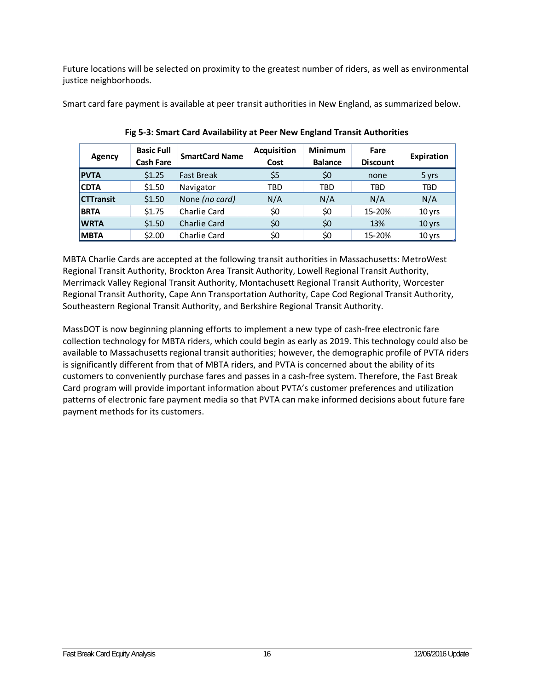Future locations will be selected on proximity to the greatest number of riders, as well as environmental justice neighborhoods.

Smart card fare payment is available at peer transit authorities in New England, as summarized below.

| Agency           | <b>Basic Full</b><br><b>Cash Fare</b> | <b>SmartCard Name</b> | <b>Acquisition</b><br>Cost | <b>Minimum</b><br><b>Balance</b> | Fare<br><b>Discount</b> | Expiration |
|------------------|---------------------------------------|-----------------------|----------------------------|----------------------------------|-------------------------|------------|
| <b>PVTA</b>      | \$1.25                                | <b>Fast Break</b>     | \$5                        | \$0                              | none                    | 5 yrs      |
| <b>CDTA</b>      | \$1.50                                | Navigator             | <b>TBD</b>                 | TBD                              | TBD                     | <b>TBD</b> |
| <b>CTTransit</b> | \$1.50                                | None (no card)        | N/A                        | N/A                              | N/A                     | N/A        |
| <b>BRTA</b>      | \$1.75                                | Charlie Card          | \$0                        | \$0                              | 15-20%                  | 10 yrs     |
| <b>WRTA</b>      | \$1.50                                | <b>Charlie Card</b>   | \$0                        | \$0                              | 13%                     | 10 yrs     |
| <b>MBTA</b>      | \$2.00                                | Charlie Card          | \$0                        | \$0                              | 15-20%                  | $10$ yrs   |

**Fig 5‐3: Smart Card Availability at Peer New England Transit Authorities**

MBTA Charlie Cards are accepted at the following transit authorities in Massachusetts: MetroWest Regional Transit Authority, Brockton Area Transit Authority, Lowell Regional Transit Authority, Merrimack Valley Regional Transit Authority, Montachusett Regional Transit Authority, Worcester Regional Transit Authority, Cape Ann Transportation Authority, Cape Cod Regional Transit Authority, Southeastern Regional Transit Authority, and Berkshire Regional Transit Authority.

MassDOT is now beginning planning efforts to implement a new type of cash-free electronic fare collection technology for MBTA riders, which could begin as early as 2019. This technology could also be available to Massachusetts regional transit authorities; however, the demographic profile of PVTA riders is significantly different from that of MBTA riders, and PVTA is concerned about the ability of its customers to conveniently purchase fares and passes in a cash-free system. Therefore, the Fast Break Card program will provide important information about PVTA's customer preferences and utilization patterns of electronic fare payment media so that PVTA can make informed decisions about future fare payment methods for its customers.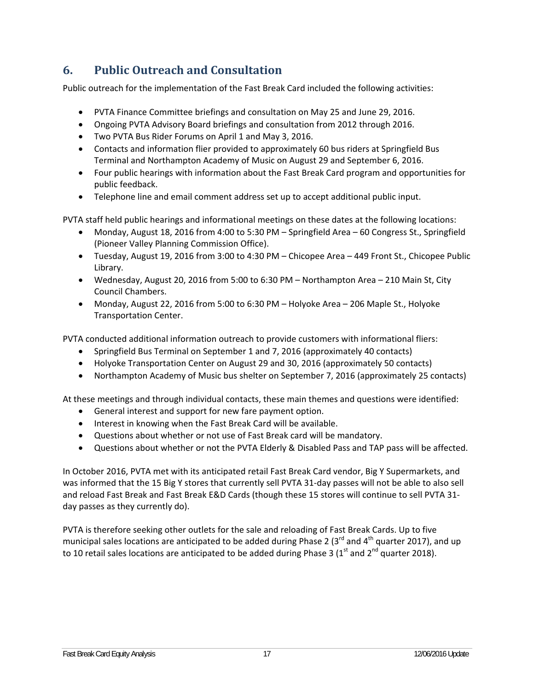# **6. Public Outreach and Consultation**

Public outreach for the implementation of the Fast Break Card included the following activities:

- PVTA Finance Committee briefings and consultation on May 25 and June 29, 2016.
- Ongoing PVTA Advisory Board briefings and consultation from 2012 through 2016.
- Two PVTA Bus Rider Forums on April 1 and May 3, 2016.
- Contacts and information flier provided to approximately 60 bus riders at Springfield Bus Terminal and Northampton Academy of Music on August 29 and September 6, 2016.
- Four public hearings with information about the Fast Break Card program and opportunities for public feedback.
- Telephone line and email comment address set up to accept additional public input.

PVTA staff held public hearings and informational meetings on these dates at the following locations:

- Monday, August 18, 2016 from 4:00 to 5:30 PM Springfield Area 60 Congress St., Springfield (Pioneer Valley Planning Commission Office).
- Tuesday, August 19, 2016 from 3:00 to 4:30 PM Chicopee Area 449 Front St., Chicopee Public Library.
- Wednesday, August 20, 2016 from 5:00 to 6:30 PM Northampton Area 210 Main St, City Council Chambers.
- Monday, August 22, 2016 from 5:00 to 6:30 PM Holyoke Area 206 Maple St., Holyoke Transportation Center.

PVTA conducted additional information outreach to provide customers with informational fliers:

- Springfield Bus Terminal on September 1 and 7, 2016 (approximately 40 contacts)
- Holyoke Transportation Center on August 29 and 30, 2016 (approximately 50 contacts)
- Northampton Academy of Music bus shelter on September 7, 2016 (approximately 25 contacts)

At these meetings and through individual contacts, these main themes and questions were identified:

- General interest and support for new fare payment option.
- Interest in knowing when the Fast Break Card will be available.
- Questions about whether or not use of Fast Break card will be mandatory.
- Questions about whether or not the PVTA Elderly & Disabled Pass and TAP pass will be affected.

In October 2016, PVTA met with its anticipated retail Fast Break Card vendor, Big Y Supermarkets, and was informed that the 15 Big Y stores that currently sell PVTA 31-day passes will not be able to also sell and reload Fast Break and Fast Break E&D Cards (though these 15 stores will continue to sell PVTA 31‐ day passes as they currently do).

PVTA is therefore seeking other outlets for the sale and reloading of Fast Break Cards. Up to five municipal sales locations are anticipated to be added during Phase 2 (3 $^{rd}$  and 4<sup>th</sup> quarter 2017), and up to 10 retail sales locations are anticipated to be added during Phase 3 (1st and 2<sup>nd</sup> quarter 2018).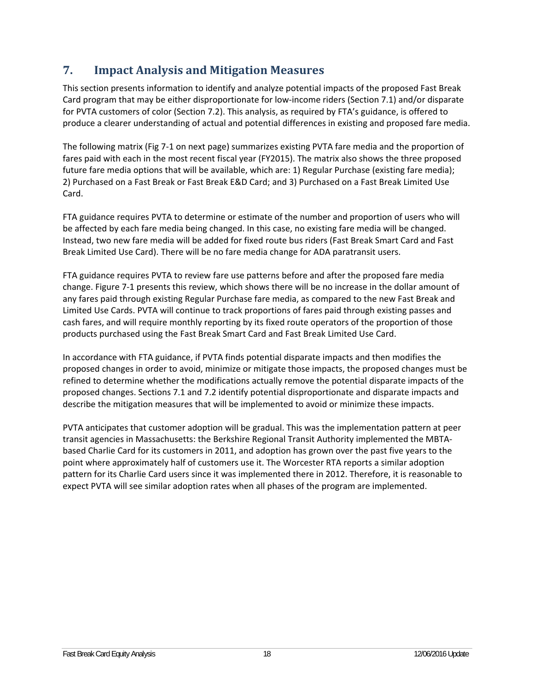# **7. Impact Analysis and Mitigation Measures**

This section presents information to identify and analyze potential impacts of the proposed Fast Break Card program that may be either disproportionate for low‐income riders (Section 7.1) and/or disparate for PVTA customers of color (Section 7.2). This analysis, as required by FTA's guidance, is offered to produce a clearer understanding of actual and potential differences in existing and proposed fare media.

The following matrix (Fig 7‐1 on next page) summarizes existing PVTA fare media and the proportion of fares paid with each in the most recent fiscal year (FY2015). The matrix also shows the three proposed future fare media options that will be available, which are: 1) Regular Purchase (existing fare media); 2) Purchased on a Fast Break or Fast Break E&D Card; and 3) Purchased on a Fast Break Limited Use Card.

FTA guidance requires PVTA to determine or estimate of the number and proportion of users who will be affected by each fare media being changed. In this case, no existing fare media will be changed. Instead, two new fare media will be added for fixed route bus riders (Fast Break Smart Card and Fast Break Limited Use Card). There will be no fare media change for ADA paratransit users.

FTA guidance requires PVTA to review fare use patterns before and after the proposed fare media change. Figure 7‐1 presents this review, which shows there will be no increase in the dollar amount of any fares paid through existing Regular Purchase fare media, as compared to the new Fast Break and Limited Use Cards. PVTA will continue to track proportions of fares paid through existing passes and cash fares, and will require monthly reporting by its fixed route operators of the proportion of those products purchased using the Fast Break Smart Card and Fast Break Limited Use Card.

In accordance with FTA guidance, if PVTA finds potential disparate impacts and then modifies the proposed changes in order to avoid, minimize or mitigate those impacts, the proposed changes must be refined to determine whether the modifications actually remove the potential disparate impacts of the proposed changes. Sections 7.1 and 7.2 identify potential disproportionate and disparate impacts and describe the mitigation measures that will be implemented to avoid or minimize these impacts.

PVTA anticipates that customer adoption will be gradual. This was the implementation pattern at peer transit agencies in Massachusetts: the Berkshire Regional Transit Authority implemented the MBTA‐ based Charlie Card for its customers in 2011, and adoption has grown over the past five years to the point where approximately half of customers use it. The Worcester RTA reports a similar adoption pattern for its Charlie Card users since it was implemented there in 2012. Therefore, it is reasonable to expect PVTA will see similar adoption rates when all phases of the program are implemented.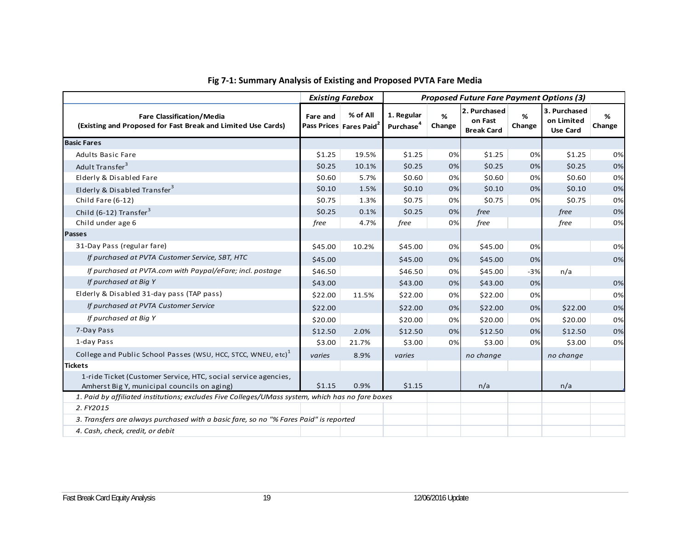|                                                                                                  |                                    | <b>Existing Farebox</b> | <b>Proposed Future Fare Payment Options (3)</b> |             |                                              |             |                                               |             |
|--------------------------------------------------------------------------------------------------|------------------------------------|-------------------------|-------------------------------------------------|-------------|----------------------------------------------|-------------|-----------------------------------------------|-------------|
| <b>Fare Classification/Media</b><br>(Existing and Proposed for Fast Break and Limited Use Cards) | Fare and<br>Pass Prices Fares Paid | % of All                | 1. Regular<br>Purchase <sup>4</sup>             | %<br>Change | 2. Purchased<br>on Fast<br><b>Break Card</b> | %<br>Change | 3. Purchased<br>on Limited<br><b>Use Card</b> | %<br>Change |
| <b>Basic Fares</b>                                                                               |                                    |                         |                                                 |             |                                              |             |                                               |             |
| <b>Adults Basic Fare</b>                                                                         | \$1.25                             | 19.5%                   | \$1.25                                          | 0%          | \$1.25                                       | 0%          | \$1.25                                        | 0%          |
| Adult Transfer <sup>3</sup>                                                                      | \$0.25                             | 10.1%                   | \$0.25                                          | 0%          | \$0.25                                       | 0%          | \$0.25                                        | 0%          |
| Elderly & Disabled Fare                                                                          | \$0.60                             | 5.7%                    | \$0.60                                          | 0%          | \$0.60                                       | 0%          | \$0.60                                        | 0%          |
| Elderly & Disabled Transfer <sup>3</sup>                                                         | \$0.10                             | 1.5%                    | \$0.10                                          | 0%          | \$0.10                                       | 0%          | \$0.10                                        | 0%          |
| Child Fare (6-12)                                                                                | \$0.75                             | 1.3%                    | \$0.75                                          | 0%          | \$0.75                                       | 0%          | \$0.75                                        | 0%          |
| Child (6-12) Transfer <sup>3</sup>                                                               | \$0.25                             | 0.1%                    | \$0.25                                          | 0%          | free                                         |             | free                                          | 0%          |
| Child under age 6                                                                                | free                               | 4.7%                    | free                                            | 0%          | free                                         |             | free                                          | 0%          |
| <b>Passes</b>                                                                                    |                                    |                         |                                                 |             |                                              |             |                                               |             |
| 31-Day Pass (regular fare)                                                                       | \$45.00                            | 10.2%                   | \$45.00                                         | 0%          | \$45.00                                      | 0%          |                                               | 0%          |
| If purchased at PVTA Customer Service, SBT, HTC                                                  | \$45.00                            |                         | \$45.00                                         | 0%          | \$45.00                                      | 0%          |                                               | 0%          |
| If purchased at PVTA.com with Paypal/eFare; incl. postage                                        | \$46.50                            |                         | \$46.50                                         | 0%          | \$45.00                                      | $-3%$       | n/a                                           |             |
| If purchased at Big Y                                                                            | \$43.00                            |                         | \$43.00                                         | 0%          | \$43.00                                      | 0%          |                                               | 0%          |
| Elderly & Disabled 31-day pass (TAP pass)                                                        | \$22.00                            | 11.5%                   | \$22.00                                         | 0%          | \$22.00                                      | 0%          |                                               | 0%          |
| If purchased at PVTA Customer Service                                                            | \$22.00                            |                         | \$22.00                                         | 0%          | \$22.00                                      | 0%          | \$22.00                                       | 0%          |
| If purchased at Big Y                                                                            | \$20.00                            |                         | \$20.00                                         | 0%          | \$20.00                                      | 0%          | \$20.00                                       | 0%          |
| 7-Day Pass                                                                                       | \$12.50                            | 2.0%                    | \$12.50                                         | 0%          | \$12.50                                      | 0%          | \$12.50                                       | 0%          |
| 1-day Pass                                                                                       | \$3.00                             | 21.7%                   | \$3.00                                          | 0%          | \$3.00                                       | 0%          | \$3.00                                        | 0%          |
| College and Public School Passes (WSU, HCC, STCC, WNEU, etc) <sup>1</sup>                        | varies                             | 8.9%                    | varies                                          |             | no change                                    |             | no change                                     |             |
| <b>Tickets</b>                                                                                   |                                    |                         |                                                 |             |                                              |             |                                               |             |
| 1-ride Ticket (Customer Service, HTC, social service agencies,                                   |                                    |                         |                                                 |             |                                              |             |                                               |             |
| Amherst Big Y, municipal councils on aging)                                                      | \$1.15                             | 0.9%                    | \$1.15                                          |             | n/a                                          |             | n/a                                           |             |
| 1. Paid by affiliated institutions; excludes Five Colleges/UMass system, which has no fare boxes |                                    |                         |                                                 |             |                                              |             |                                               |             |
| 2. FY2015                                                                                        |                                    |                         |                                                 |             |                                              |             |                                               |             |
| 3. Transfers are always purchased with a basic fare, so no "% Fares Paid" is reported            |                                    |                         |                                                 |             |                                              |             |                                               |             |
| 4. Cash, check, credit, or debit                                                                 |                                    |                         |                                                 |             |                                              |             |                                               |             |

#### **Fig 7‐1: Summary Analysis of Existing and Proposed PVTA Fare Media**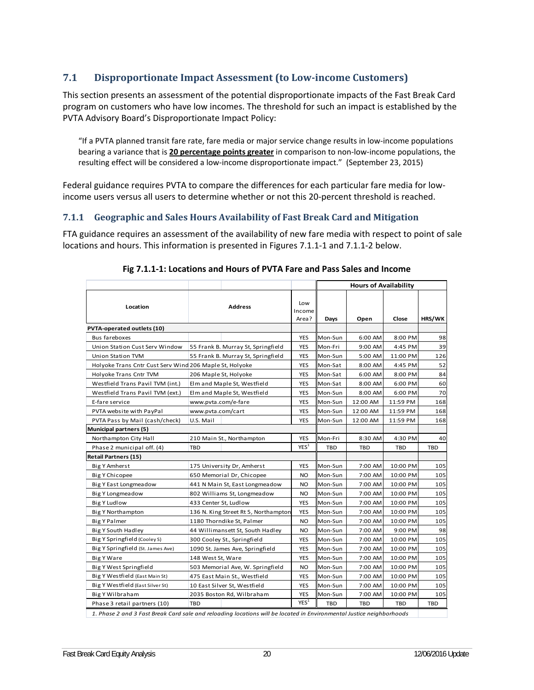## **7.1 Disproportionate Impact Assessment (to Lowincome Customers)**

This section presents an assessment of the potential disproportionate impacts of the Fast Break Card program on customers who have low incomes. The threshold for such an impact is established by the PVTA Advisory Board's Disproportionate Impact Policy:

"If a PVTA planned transit fare rate, fare media or major service change results in low‐income populations bearing a variance that is **20 percentage points greater** in comparison to non‐low‐income populations, the resulting effect will be considered a low‐income disproportionate impact." (September 23, 2015)

Federal guidance requires PVTA to compare the differences for each particular fare media for low‐ income users versus all users to determine whether or not this 20‐percent threshold is reached.

#### **7.1.1 Geographic and Sales Hours Availability of Fast Break Card and Mitigation**

FTA guidance requires an assessment of the availability of new fare media with respect to point of sale locations and hours. This information is presented in Figures 7.1.1‐1 and 7.1.1‐2 below.

|                                                         |                                  |                                      |                        |            | <b>Hours of Availability</b> |            |        |
|---------------------------------------------------------|----------------------------------|--------------------------------------|------------------------|------------|------------------------------|------------|--------|
| Location                                                |                                  | <b>Address</b>                       | Low<br>Income<br>Area? | Days       | Open                         | Close      | HRS/WK |
| PVTA-operated outlets (10)                              |                                  |                                      |                        |            |                              |            |        |
| <b>Bus fareboxes</b>                                    |                                  |                                      | YES                    | Mon-Sun    | 6:00 AM                      | 8:00 PM    | 98     |
| Union Station Cust Serv Window                          |                                  | 55 Frank B. Murray St, Springfield   | YES                    | Mon-Fri    | 9:00 AM                      | 4:45 PM    | 39     |
| Union Station TVM                                       |                                  | 55 Frank B. Murray St, Springfield   | YES                    | Mon-Sun    | 5:00 AM                      | 11:00 PM   | 126    |
| Holyoke Trans Cntr Cust Serv Wind 206 Maple St, Holyoke |                                  |                                      | YES                    | Mon-Sat    | 8:00 AM                      | 4:45 PM    | 52     |
| Holyoke Trans Cntr TVM                                  |                                  | 206 Maple St, Holyoke                | YES                    | Mon-Sat    | 6:00 AM                      | 8:00 PM    | 84     |
| Westfield Trans Pavil TVM (int.)                        |                                  | Elm and Maple St, Westfield          | YES                    | Mon-Sat    | 8:00 AM                      | 6:00 PM    | 60     |
| Westfield Trans Pavil TVM (ext.)                        |                                  | Elm and Maple St, Westfield          | YES                    | Mon-Sun    | 8:00 AM                      | 6:00 PM    | 70     |
| E-fare service                                          | www.pvta.com/e-fare              |                                      | <b>YES</b>             | Mon-Sun    | 12:00 AM                     | 11:59 PM   | 168    |
| PVTA website with PayPal                                | www.pvta.com/cart                |                                      | YES                    | Mon-Sun    | 12:00 AM                     | 11:59 PM   | 168    |
| PVTA Pass by Mail (cash/check)                          | U.S. Mail                        |                                      | <b>YES</b>             | Mon-Sun    | 12:00 AM                     | 11:59 PM   | 168    |
| <b>Municipal partners (5)</b>                           |                                  |                                      |                        |            |                              |            |        |
| Northampton City Hall                                   |                                  | 210 Main St., Northampton            | YES                    | Mon-Fri    | 8:30 AM                      | 4:30 PM    | 40     |
| Phase 2 municipal off. (4)                              | <b>TBD</b>                       |                                      | YES <sup>1</sup>       | <b>TBD</b> | <b>TBD</b>                   | <b>TBD</b> | TBD    |
| <b>Retail Partners (15)</b>                             |                                  |                                      |                        |            |                              |            |        |
| Big Y Amherst                                           |                                  | 175 University Dr, Amherst           | <b>YES</b>             | Mon-Sun    | 7:00 AM                      | 10:00 PM   | 105    |
| Big Y Chicopee                                          |                                  | 650 Memorial Dr, Chicopee            | NO                     | Mon-Sun    | 7:00 AM                      | 10:00 PM   | 105    |
| Big Y East Longmeadow                                   |                                  | 441 N Main St, East Longmeadow       | NO                     | Mon-Sun    | 7:00 AM                      | 10:00 PM   | 105    |
| Big Y Longmeadow                                        |                                  | 802 Williams St, Longmeadow          | NO                     | Mon-Sun    | 7:00 AM                      | 10:00 PM   | 105    |
| <b>Big Y Ludlow</b>                                     | 433 Center St, Ludlow            |                                      | YES                    | Mon-Sun    | 7:00 AM                      | 10:00 PM   | 105    |
| <b>Big Y Northampton</b>                                |                                  | 136 N. King Street Rt 5, Northampton | <b>YES</b>             | Mon-Sun    | 7:00 AM                      | 10:00 PM   | 105    |
| Big Y Palmer                                            |                                  | 1180 Thorndike St, Palmer            | <b>NO</b>              | Mon-Sun    | 7:00 AM                      | 10:00 PM   | 105    |
| Big Y South Hadley                                      |                                  | 44 Willimansett St, South Hadley     | <b>NO</b>              | Mon-Sun    | 7:00 AM                      | 9:00 PM    | 98     |
| Big Y Springfield (Cooley S)                            |                                  | 300 Cooley St., Springfield          | YES                    | Mon-Sun    | 7:00 AM                      | 10:00 PM   | 105    |
| Big Y Springfield (St. James Ave)                       |                                  | 1090 St. James Ave, Springfield      | YES                    | Mon-Sun    | 7:00 AM                      | 10:00 PM   | 105    |
| <b>Big Y Ware</b>                                       | 148 West St, Ware                |                                      | YES                    | Mon-Sun    | 7:00 AM                      | 10:00 PM   | 105    |
| Big Y West Springfield                                  | 503 Memorial Ave, W. Springfield |                                      | <b>NO</b>              | Mon-Sun    | 7:00 AM                      | 10:00 PM   | 105    |
| Big Y Westfield (East Main St)                          | 475 East Main St., Westfield     |                                      | <b>YES</b>             | Mon-Sun    | 7:00 AM                      | 10:00 PM   | 105    |
| Big Y Westfield (East Silver St)                        |                                  | 10 East Silver St, Westfield         | <b>YES</b>             | Mon-Sun    | 7:00 AM                      | 10:00 PM   | 105    |
| Big Y Wilbraham                                         |                                  | 2035 Boston Rd, Wilbraham            | YES                    | Mon-Sun    | 7:00 AM                      | 10:00 PM   | 105    |
| Phase 3 retail partners (10)                            | TBD                              |                                      | YES <sup>1</sup>       | <b>TBD</b> | <b>TBD</b>                   | <b>TBD</b> | TBD    |

**Fig 7.1.1‐1: Locations and Hours of PVTA Fare and Pass Sales and Income**

1. Phase 2 and 3 Fast Break Card sale and reloading locations will be located in Environmental Justice neighborhoods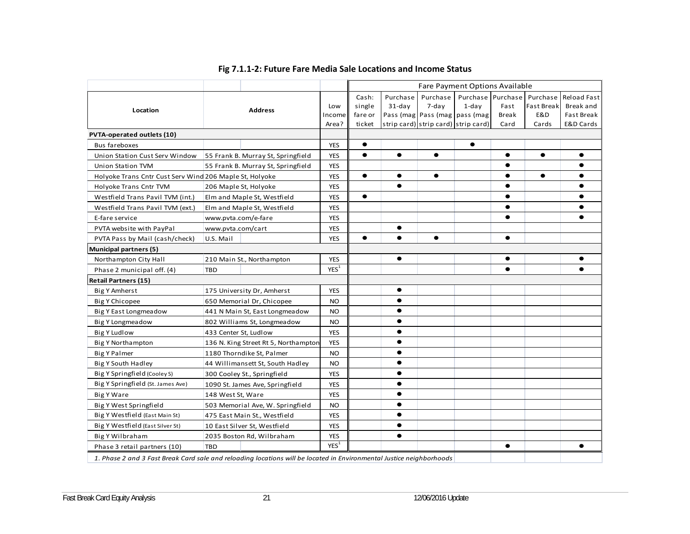|                                                                                                                      |                                  |                                      |                  |           |           | Fare Payment Options Available      |                   |           |                   |             |
|----------------------------------------------------------------------------------------------------------------------|----------------------------------|--------------------------------------|------------------|-----------|-----------|-------------------------------------|-------------------|-----------|-------------------|-------------|
|                                                                                                                      |                                  |                                      |                  | Cash:     | Purchase  | Purchase                            | Purchase Purchase |           | Purchase          | Reload Fast |
| Location                                                                                                             |                                  |                                      | Low              | single    | $31$ -day | 7-day                               | $1$ -day          | Fast      | <b>Fast Break</b> | Break and   |
|                                                                                                                      |                                  | <b>Address</b><br>Income<br>Area?    |                  | fare or   |           | Pass (mag Pass (mag pass (mag       |                   | Break     | E&D               | Fast Break  |
|                                                                                                                      |                                  |                                      |                  | ticket    |           | strip card) strip card) strip card) |                   | Card      | Cards             | E&D Cards   |
| <b>PVTA-operated outlets (10)</b>                                                                                    |                                  |                                      |                  |           |           |                                     |                   |           |                   |             |
| Bus fareboxes                                                                                                        |                                  |                                      | <b>YES</b>       | $\bullet$ |           |                                     | $\bullet$         |           |                   |             |
| Union Station Cust Serv Window                                                                                       |                                  | 55 Frank B. Murray St, Springfield   | <b>YES</b>       | $\bullet$ | $\bullet$ | $\bullet$                           |                   | $\bullet$ | $\bullet$         | $\bullet$   |
| <b>Union Station TVM</b>                                                                                             |                                  | 55 Frank B. Murray St, Springfield   | <b>YES</b>       |           |           |                                     |                   | $\bullet$ |                   | $\bullet$   |
| Holyoke Trans Cntr Cust Serv Wind 206 Maple St, Holyoke                                                              |                                  |                                      | <b>YES</b>       | $\bullet$ | $\bullet$ | $\bullet$                           |                   | $\bullet$ | $\bullet$         | $\bullet$   |
| Holyoke Trans Cntr TVM                                                                                               |                                  | 206 Maple St, Holyoke                | <b>YES</b>       |           | $\bullet$ |                                     |                   | $\bullet$ |                   | $\bullet$   |
| Westfield Trans Pavil TVM (int.)                                                                                     |                                  | Elm and Maple St, Westfield          | <b>YES</b>       | $\bullet$ |           |                                     |                   | $\bullet$ |                   | $\bullet$   |
| Westfield Trans Pavil TVM (ext.)                                                                                     |                                  | Elm and Maple St, Westfield          | <b>YES</b>       |           |           |                                     |                   | $\bullet$ |                   |             |
| E-fare service                                                                                                       | www.pvta.com/e-fare              |                                      | <b>YES</b>       |           |           |                                     |                   | $\bullet$ |                   |             |
| PVTA website with PayPal                                                                                             | www.pvta.com/cart                |                                      | <b>YES</b>       |           | $\bullet$ |                                     |                   |           |                   |             |
| PVTA Pass by Mail (cash/check)                                                                                       | U.S. Mail                        |                                      | <b>YES</b>       | $\bullet$ | $\bullet$ | $\bullet$                           |                   | $\bullet$ |                   |             |
| <b>Municipal partners (5)</b>                                                                                        |                                  |                                      |                  |           |           |                                     |                   |           |                   |             |
| Northampton City Hall                                                                                                |                                  | 210 Main St., Northampton            | <b>YES</b>       |           | $\bullet$ |                                     |                   | $\bullet$ |                   |             |
| Phase 2 municipal off. (4)                                                                                           | <b>TBD</b>                       |                                      | YES <sup>1</sup> |           |           |                                     |                   | $\bullet$ |                   |             |
| <b>Retail Partners (15)</b>                                                                                          |                                  |                                      |                  |           |           |                                     |                   |           |                   |             |
| Big Y Amherst                                                                                                        |                                  | 175 University Dr, Amherst           | <b>YES</b>       |           | $\bullet$ |                                     |                   |           |                   |             |
| Big Y Chicopee                                                                                                       |                                  | 650 Memorial Dr, Chicopee            | <b>NO</b>        |           | $\bullet$ |                                     |                   |           |                   |             |
| Big Y East Longmeadow                                                                                                |                                  | 441 N Main St, East Longmeadow       | <b>NO</b>        |           | $\bullet$ |                                     |                   |           |                   |             |
| <b>Big Y Longmeadow</b>                                                                                              |                                  | 802 Williams St, Longmeadow          | NO               |           | $\bullet$ |                                     |                   |           |                   |             |
| <b>Big Y Ludlow</b>                                                                                                  | 433 Center St, Ludlow            |                                      | <b>YES</b>       |           | $\bullet$ |                                     |                   |           |                   |             |
| <b>Big Y Northampton</b>                                                                                             |                                  | 136 N. King Street Rt 5, Northampton | <b>YES</b>       |           | $\bullet$ |                                     |                   |           |                   |             |
| Big Y Palmer                                                                                                         |                                  | 1180 Thorndike St, Palmer            | <b>NO</b>        |           | $\bullet$ |                                     |                   |           |                   |             |
| Big Y South Hadley                                                                                                   | 44 Willimansett St, South Hadley |                                      | <b>NO</b>        |           | $\bullet$ |                                     |                   |           |                   |             |
| Big Y Springfield (Cooley S)                                                                                         | 300 Cooley St., Springfield      |                                      | <b>YES</b>       |           | $\bullet$ |                                     |                   |           |                   |             |
| Big Y Springfield (St. James Ave)                                                                                    | 1090 St. James Ave, Springfield  |                                      | <b>YES</b>       |           | $\bullet$ |                                     |                   |           |                   |             |
| <b>Big Y Ware</b>                                                                                                    | 148 West St, Ware                |                                      | <b>YES</b>       |           | $\bullet$ |                                     |                   |           |                   |             |
| Big Y West Springfield                                                                                               | 503 Memorial Ave, W. Springfield |                                      | NO               |           | $\bullet$ |                                     |                   |           |                   |             |
| Big Y Westfield (East Main St)<br>475 East Main St., Westfield                                                       |                                  | <b>YES</b>                           |                  | $\bullet$ |           |                                     |                   |           |                   |             |
| Big Y Westfield (East Silver St)<br>10 East Silver St, Westfield                                                     |                                  | <b>YES</b>                           |                  | $\bullet$ |           |                                     |                   |           |                   |             |
| Big Y Wilbraham                                                                                                      | 2035 Boston Rd, Wilbraham        |                                      | <b>YES</b>       |           | $\bullet$ |                                     |                   |           |                   |             |
| Phase 3 retail partners (10)                                                                                         | <b>TBD</b>                       |                                      | YES <sup>1</sup> |           |           |                                     |                   | $\bullet$ |                   | $\bullet$   |
| 1. Phase 2 and 3 Fast Break Card sale and reloading locations will be located in Environmental Justice neighborhoods |                                  |                                      |                  |           |           |                                     |                   |           |                   |             |

## **Fig 7.1.1‐2: Future Fare Media Sale Locations and Income Status**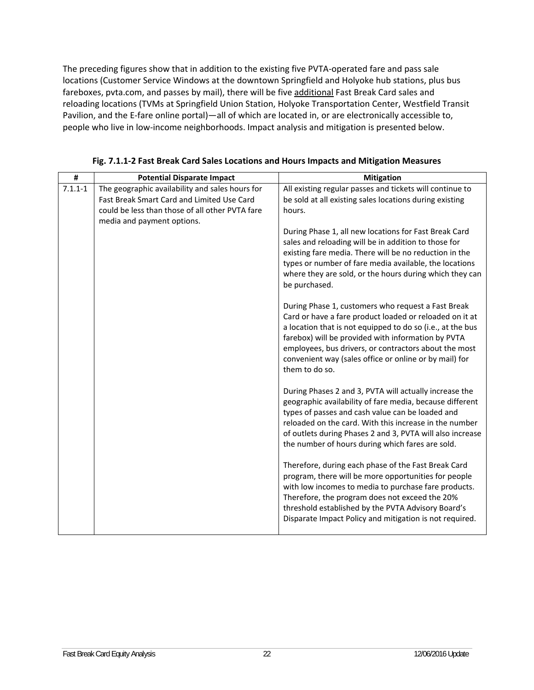The preceding figures show that in addition to the existing five PVTA‐operated fare and pass sale locations (Customer Service Windows at the downtown Springfield and Holyoke hub stations, plus bus fareboxes, pvta.com, and passes by mail), there will be five additional Fast Break Card sales and reloading locations (TVMs at Springfield Union Station, Holyoke Transportation Center, Westfield Transit Pavilion, and the E-fare online portal)—all of which are located in, or are electronically accessible to, people who live in low‐income neighborhoods. Impact analysis and mitigation is presented below.

| #           | <b>Potential Disparate Impact</b>                                                             | <b>Mitigation</b>                                                                                                                                                                                                                                                                                                                                                      |
|-------------|-----------------------------------------------------------------------------------------------|------------------------------------------------------------------------------------------------------------------------------------------------------------------------------------------------------------------------------------------------------------------------------------------------------------------------------------------------------------------------|
| $7.1.1 - 1$ | The geographic availability and sales hours for                                               | All existing regular passes and tickets will continue to                                                                                                                                                                                                                                                                                                               |
|             | Fast Break Smart Card and Limited Use Card<br>could be less than those of all other PVTA fare | be sold at all existing sales locations during existing<br>hours.                                                                                                                                                                                                                                                                                                      |
|             | media and payment options.                                                                    |                                                                                                                                                                                                                                                                                                                                                                        |
|             |                                                                                               | During Phase 1, all new locations for Fast Break Card<br>sales and reloading will be in addition to those for<br>existing fare media. There will be no reduction in the<br>types or number of fare media available, the locations<br>where they are sold, or the hours during which they can<br>be purchased.                                                          |
|             |                                                                                               | During Phase 1, customers who request a Fast Break<br>Card or have a fare product loaded or reloaded on it at<br>a location that is not equipped to do so (i.e., at the bus<br>farebox) will be provided with information by PVTA<br>employees, bus drivers, or contractors about the most<br>convenient way (sales office or online or by mail) for<br>them to do so. |
|             |                                                                                               | During Phases 2 and 3, PVTA will actually increase the<br>geographic availability of fare media, because different<br>types of passes and cash value can be loaded and<br>reloaded on the card. With this increase in the number<br>of outlets during Phases 2 and 3, PVTA will also increase<br>the number of hours during which fares are sold.                      |
|             |                                                                                               | Therefore, during each phase of the Fast Break Card<br>program, there will be more opportunities for people<br>with low incomes to media to purchase fare products.<br>Therefore, the program does not exceed the 20%<br>threshold established by the PVTA Advisory Board's<br>Disparate Impact Policy and mitigation is not required.                                 |

**Fig. 7.1.1‐2 Fast Break Card Sales Locations and Hours Impacts and Mitigation Measures**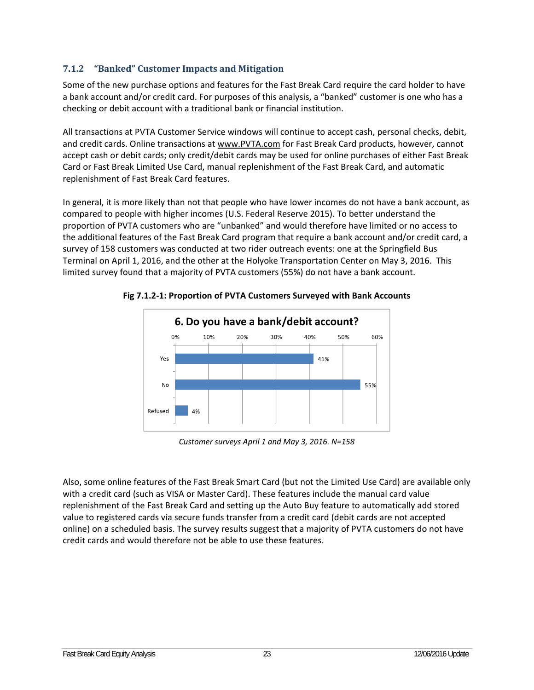## **7.1.2 "Banked" Customer Impacts and Mitigation**

Some of the new purchase options and features for the Fast Break Card require the card holder to have a bank account and/or credit card. For purposes of this analysis, a "banked" customer is one who has a checking or debit account with a traditional bank or financial institution.

All transactions at PVTA Customer Service windows will continue to accept cash, personal checks, debit, and credit cards. Online transactions at www.PVTA.com for Fast Break Card products, however, cannot accept cash or debit cards; only credit/debit cards may be used for online purchases of either Fast Break Card or Fast Break Limited Use Card, manual replenishment of the Fast Break Card, and automatic replenishment of Fast Break Card features.

In general, it is more likely than not that people who have lower incomes do not have a bank account, as compared to people with higher incomes (U.S. Federal Reserve 2015). To better understand the proportion of PVTA customers who are "unbanked" and would therefore have limited or no access to the additional features of the Fast Break Card program that require a bank account and/or credit card, a survey of 158 customers was conducted at two rider outreach events: one at the Springfield Bus Terminal on April 1, 2016, and the other at the Holyoke Transportation Center on May 3, 2016. This limited survey found that a majority of PVTA customers (55%) do not have a bank account.



## **Fig 7.1.2‐1: Proportion of PVTA Customers Surveyed with Bank Accounts**

*Customer surveys April 1 and May 3, 2016. N=158*

Also, some online features of the Fast Break Smart Card (but not the Limited Use Card) are available only with a credit card (such as VISA or Master Card). These features include the manual card value replenishment of the Fast Break Card and setting up the Auto Buy feature to automatically add stored value to registered cards via secure funds transfer from a credit card (debit cards are not accepted online) on a scheduled basis. The survey results suggest that a majority of PVTA customers do not have credit cards and would therefore not be able to use these features.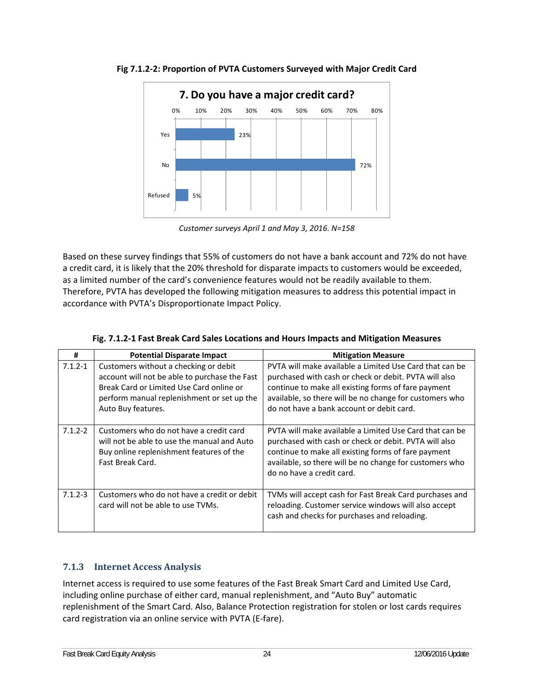

**Fig 7.1.2‐2: Proportion of PVTA Customers Surveyed with Major Credit Card**

*Customer surveys April 1 and May 3, 2016. N=158*

Based on these survey findings that 55% of customers do not have a bank account and 72% do not have a credit card, it is likely that the 20% threshold for disparate impacts to customers would be exceeded, as a limited number of the card's convenience features would not be readily available to them. Therefore, PVTA has developed the following mitigation measures to address this potential impact in accordance with PVTA's Disproportionate Impact Policy.

| #           | <b>Potential Disparate Impact</b>                                                                                                                                                                      | <b>Mitigation Measure</b>                                                                                                                                                                                                                                                       |
|-------------|--------------------------------------------------------------------------------------------------------------------------------------------------------------------------------------------------------|---------------------------------------------------------------------------------------------------------------------------------------------------------------------------------------------------------------------------------------------------------------------------------|
| $7.1.2 - 1$ | Customers without a checking or debit<br>account will not be able to purchase the Fast<br>Break Card or Limited Use Card online or<br>perform manual replenishment or set up the<br>Auto Buy features. | PVTA will make available a Limited Use Card that can be<br>purchased with cash or check or debit. PVTA will also<br>continue to make all existing forms of fare payment<br>available, so there will be no change for customers who<br>do not have a bank account or debit card. |
| $7.1.2 - 2$ | Customers who do not have a credit card<br>will not be able to use the manual and Auto<br>Buy online replenishment features of the<br>Fast Break Card.                                                 | PVTA will make available a Limited Use Card that can be<br>purchased with cash or check or debit. PVTA will also<br>continue to make all existing forms of fare payment<br>available, so there will be no change for customers who<br>do no have a credit card.                 |
| $7.1.2 - 3$ | Customers who do not have a credit or debit<br>card will not be able to use TVMs.                                                                                                                      | TVMs will accept cash for Fast Break Card purchases and<br>reloading. Customer service windows will also accept<br>cash and checks for purchases and reloading.                                                                                                                 |

# **7.1.3 Internet Access Analysis**

Internet access is required to use some features of the Fast Break Smart Card and Limited Use Card, including online purchase of either card, manual replenishment, and "Auto Buy" automatic replenishment of the Smart Card. Also, Balance Protection registration for stolen or lost cards requires card registration via an online service with PVTA (E‐fare).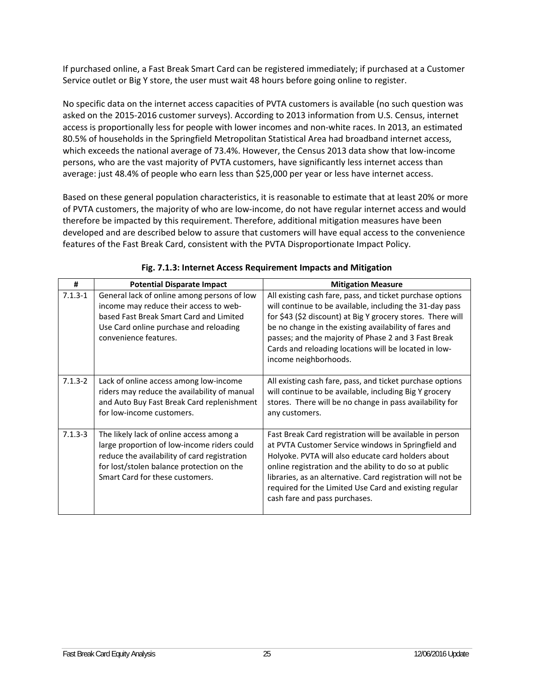If purchased online, a Fast Break Smart Card can be registered immediately; if purchased at a Customer Service outlet or Big Y store, the user must wait 48 hours before going online to register.

No specific data on the internet access capacities of PVTA customers is available (no such question was asked on the 2015‐2016 customer surveys). According to 2013 information from U.S. Census, internet access is proportionally less for people with lower incomes and non‐white races. In 2013, an estimated 80.5% of households in the Springfield Metropolitan Statistical Area had broadband internet access, which exceeds the national average of 73.4%. However, the Census 2013 data show that low-income persons, who are the vast majority of PVTA customers, have significantly less internet access than average: just 48.4% of people who earn less than \$25,000 per year or less have internet access.

Based on these general population characteristics, it is reasonable to estimate that at least 20% or more of PVTA customers, the majority of who are low‐income, do not have regular internet access and would therefore be impacted by this requirement. Therefore, additional mitigation measures have been developed and are described below to assure that customers will have equal access to the convenience features of the Fast Break Card, consistent with the PVTA Disproportionate Impact Policy.

| #           | <b>Potential Disparate Impact</b>                                                                                                                                                                                       | <b>Mitigation Measure</b>                                                                                                                                                                                                                                                                                                                                                                 |
|-------------|-------------------------------------------------------------------------------------------------------------------------------------------------------------------------------------------------------------------------|-------------------------------------------------------------------------------------------------------------------------------------------------------------------------------------------------------------------------------------------------------------------------------------------------------------------------------------------------------------------------------------------|
| $7.1.3 - 1$ | General lack of online among persons of low<br>income may reduce their access to web-<br>based Fast Break Smart Card and Limited<br>Use Card online purchase and reloading<br>convenience features.                     | All existing cash fare, pass, and ticket purchase options<br>will continue to be available, including the 31-day pass<br>for \$43 (\$2 discount) at Big Y grocery stores. There will<br>be no change in the existing availability of fares and<br>passes; and the majority of Phase 2 and 3 Fast Break<br>Cards and reloading locations will be located in low-<br>income neighborhoods.  |
| $7.1.3 - 2$ | Lack of online access among low-income<br>riders may reduce the availability of manual<br>and Auto Buy Fast Break Card replenishment<br>for low-income customers.                                                       | All existing cash fare, pass, and ticket purchase options<br>will continue to be available, including Big Y grocery<br>stores. There will be no change in pass availability for<br>any customers.                                                                                                                                                                                         |
| $7.1.3 - 3$ | The likely lack of online access among a<br>large proportion of low-income riders could<br>reduce the availability of card registration<br>for lost/stolen balance protection on the<br>Smart Card for these customers. | Fast Break Card registration will be available in person<br>at PVTA Customer Service windows in Springfield and<br>Holyoke. PVTA will also educate card holders about<br>online registration and the ability to do so at public<br>libraries, as an alternative. Card registration will not be<br>required for the Limited Use Card and existing regular<br>cash fare and pass purchases. |

**Fig. 7.1.3: Internet Access Requirement Impacts and Mitigation**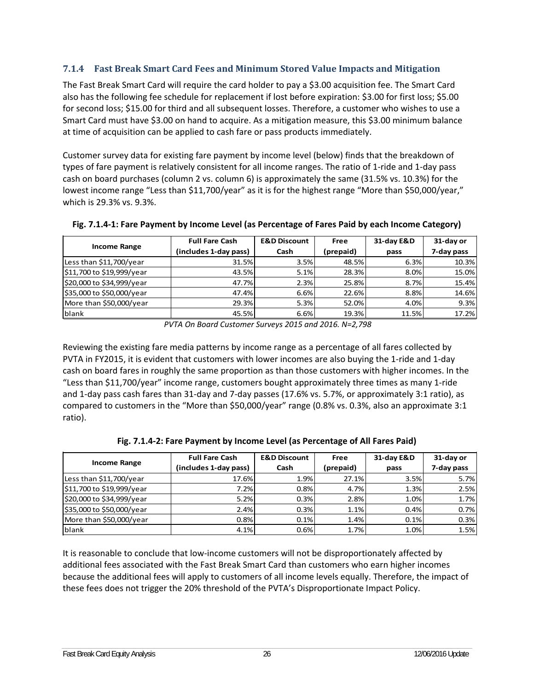### **7.1.4 Fast Break Smart Card Fees and Minimum Stored Value Impacts and Mitigation**

The Fast Break Smart Card will require the card holder to pay a \$3.00 acquisition fee. The Smart Card also has the following fee schedule for replacement if lost before expiration: \$3.00 for first loss; \$5.00 for second loss; \$15.00 for third and all subsequent losses. Therefore, a customer who wishes to use a Smart Card must have \$3.00 on hand to acquire. As a mitigation measure, this \$3.00 minimum balance at time of acquisition can be applied to cash fare or pass products immediately.

Customer survey data for existing fare payment by income level (below) finds that the breakdown of types of fare payment is relatively consistent for all income ranges. The ratio of 1‐ride and 1‐day pass cash on board purchases (column 2 vs. column 6) is approximately the same (31.5% vs. 10.3%) for the lowest income range "Less than \$11,700/year" as it is for the highest range "More than \$50,000/year," which is 29.3% vs. 9.3%.

|                           | <b>Full Fare Cash</b> | <b>E&amp;D Discount</b> | Free      | 31-day E&D | 31-day or  |
|---------------------------|-----------------------|-------------------------|-----------|------------|------------|
| <b>Income Range</b>       | (includes 1-day pass) | Cash                    | (prepaid) | pass       | 7-day pass |
| Less than \$11,700/year   | 31.5%                 | 3.5%                    | 48.5%     | 6.3%       | 10.3%      |
| \$11,700 to \$19,999/year | 43.5%                 | 5.1%                    | 28.3%     | 8.0%       | 15.0%      |
| \$20,000 to \$34,999/year | 47.7%                 | 2.3%                    | 25.8%     | 8.7%       | 15.4%      |
| \$35,000 to \$50,000/year | 47.4%                 | 6.6%                    | 22.6%     | 8.8%       | 14.6%      |
| More than \$50,000/year   | 29.3%                 | 5.3%                    | 52.0%     | 4.0%       | 9.3%       |
| blank                     | 45.5%                 | 6.6%                    | 19.3%     | 11.5%      | 17.2%      |

#### **Fig. 7.1.4‐1: Fare Payment by Income Level (as Percentage of Fares Paid by each Income Category)**

*PVTA On Board Customer Surveys 2015 and 2016. N=2,798*

Reviewing the existing fare media patterns by income range as a percentage of all fares collected by PVTA in FY2015, it is evident that customers with lower incomes are also buying the 1‐ride and 1‐day cash on board fares in roughly the same proportion as than those customers with higher incomes. In the "Less than \$11,700/year" income range, customers bought approximately three times as many 1‐ride and 1‐day pass cash fares than 31‐day and 7‐day passes (17.6% vs. 5.7%, or approximately 3:1 ratio), as compared to customers in the "More than \$50,000/year" range (0.8% vs. 0.3%, also an approximate 3:1 ratio).

|                           | <b>Full Fare Cash</b> | <b>E&amp;D Discount</b> | Free      | 31-day E&D | 31-day or  |
|---------------------------|-----------------------|-------------------------|-----------|------------|------------|
| <b>Income Range</b>       | (includes 1-day pass) | Cash                    | (prepaid) | pass       | 7-day pass |
| Less than \$11,700/year   | 17.6%                 | 1.9%                    | 27.1%     | 3.5%       | 5.7%       |
| \$11,700 to \$19,999/year | 7.2%                  | 0.8%                    | 4.7%      | 1.3%       | 2.5%       |
| \$20,000 to \$34,999/year | 5.2%                  | 0.3%                    | 2.8%      | 1.0%       | 1.7%       |
| \$35,000 to \$50,000/year | 2.4%                  | 0.3%                    | 1.1%      | 0.4%       | 0.7%       |
| More than \$50,000/year   | 0.8%                  | 0.1%                    | 1.4%      | 0.1%       | 0.3%       |
| blank                     | 4.1%                  | 0.6%                    | 1.7%      | 1.0%       | 1.5%       |

**Fig. 7.1.4‐2: Fare Payment by Income Level (as Percentage of All Fares Paid)**

It is reasonable to conclude that low‐income customers will not be disproportionately affected by additional fees associated with the Fast Break Smart Card than customers who earn higher incomes because the additional fees will apply to customers of all income levels equally. Therefore, the impact of these fees does not trigger the 20% threshold of the PVTA's Disproportionate Impact Policy.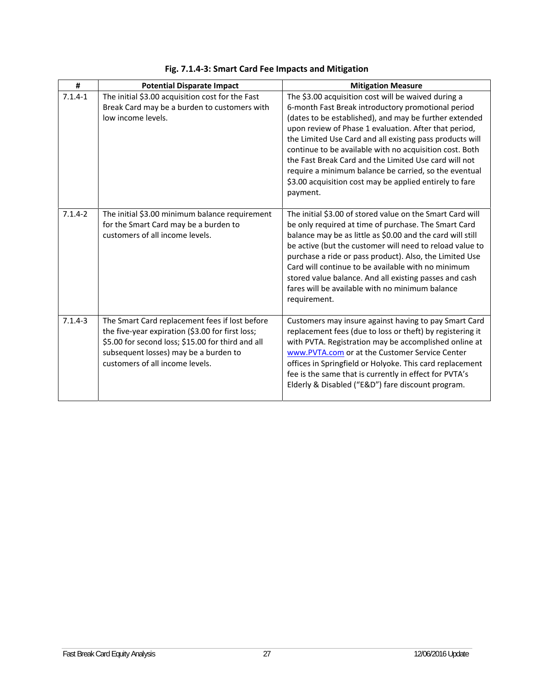| #           | <b>Potential Disparate Impact</b>                                                                                                                                                                                                   | <b>Mitigation Measure</b>                                                                                                                                                                                                                                                                                                                                                                                                                                                                                                                    |
|-------------|-------------------------------------------------------------------------------------------------------------------------------------------------------------------------------------------------------------------------------------|----------------------------------------------------------------------------------------------------------------------------------------------------------------------------------------------------------------------------------------------------------------------------------------------------------------------------------------------------------------------------------------------------------------------------------------------------------------------------------------------------------------------------------------------|
| $7.1.4 - 1$ | The initial \$3.00 acquisition cost for the Fast<br>Break Card may be a burden to customers with<br>low income levels.                                                                                                              | The \$3.00 acquisition cost will be waived during a<br>6-month Fast Break introductory promotional period<br>(dates to be established), and may be further extended<br>upon review of Phase 1 evaluation. After that period,<br>the Limited Use Card and all existing pass products will<br>continue to be available with no acquisition cost. Both<br>the Fast Break Card and the Limited Use card will not<br>require a minimum balance be carried, so the eventual<br>\$3.00 acquisition cost may be applied entirely to fare<br>payment. |
| $7.1.4 - 2$ | The initial \$3.00 minimum balance requirement<br>for the Smart Card may be a burden to<br>customers of all income levels.                                                                                                          | The initial \$3.00 of stored value on the Smart Card will<br>be only required at time of purchase. The Smart Card<br>balance may be as little as \$0.00 and the card will still<br>be active (but the customer will need to reload value to<br>purchase a ride or pass product). Also, the Limited Use<br>Card will continue to be available with no minimum<br>stored value balance. And all existing passes and cash<br>fares will be available with no minimum balance<br>requirement.                                                    |
| $7.1.4 - 3$ | The Smart Card replacement fees if lost before<br>the five-year expiration (\$3.00 for first loss;<br>\$5.00 for second loss; \$15.00 for third and all<br>subsequent losses) may be a burden to<br>customers of all income levels. | Customers may insure against having to pay Smart Card<br>replacement fees (due to loss or theft) by registering it<br>with PVTA. Registration may be accomplished online at<br>www.PVTA.com or at the Customer Service Center<br>offices in Springfield or Holyoke. This card replacement<br>fee is the same that is currently in effect for PVTA's<br>Elderly & Disabled ("E&D") fare discount program.                                                                                                                                     |

**Fig. 7.1.4‐3: Smart Card Fee Impacts and Mitigation**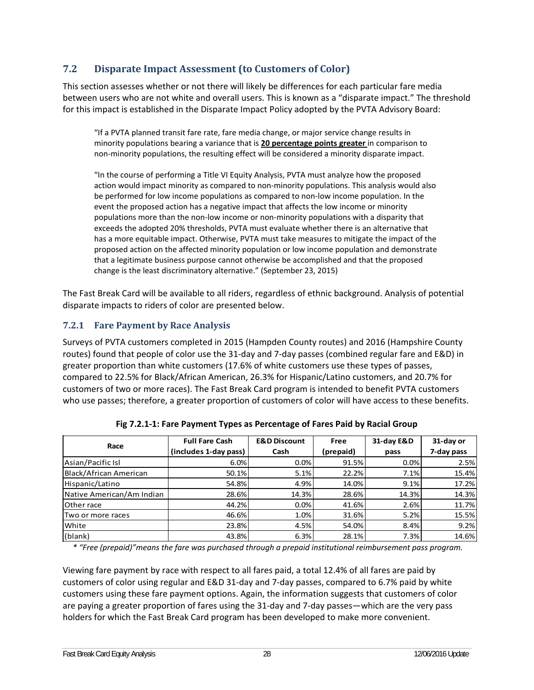# **7.2 Disparate Impact Assessment (to Customers of Color)**

This section assesses whether or not there will likely be differences for each particular fare media between users who are not white and overall users. This is known as a "disparate impact." The threshold for this impact is established in the Disparate Impact Policy adopted by the PVTA Advisory Board:

"If a PVTA planned transit fare rate, fare media change, or major service change results in minority populations bearing a variance that is **20 percentage points greater** in comparison to non‐minority populations, the resulting effect will be considered a minority disparate impact.

"In the course of performing a Title VI Equity Analysis, PVTA must analyze how the proposed action would impact minority as compared to non-minority populations. This analysis would also be performed for low income populations as compared to non‐low income population. In the event the proposed action has a negative impact that affects the low income or minority populations more than the non‐low income or non‐minority populations with a disparity that exceeds the adopted 20% thresholds, PVTA must evaluate whether there is an alternative that has a more equitable impact. Otherwise, PVTA must take measures to mitigate the impact of the proposed action on the affected minority population or low income population and demonstrate that a legitimate business purpose cannot otherwise be accomplished and that the proposed change is the least discriminatory alternative." (September 23, 2015)

The Fast Break Card will be available to all riders, regardless of ethnic background. Analysis of potential disparate impacts to riders of color are presented below.

## **7.2.1 Fare Payment by Race Analysis**

Surveys of PVTA customers completed in 2015 (Hampden County routes) and 2016 (Hampshire County routes) found that people of color use the 31‐day and 7‐day passes (combined regular fare and E&D) in greater proportion than white customers (17.6% of white customers use these types of passes, compared to 22.5% for Black/African American, 26.3% for Hispanic/Latino customers, and 20.7% for customers of two or more races). The Fast Break Card program is intended to benefit PVTA customers who use passes; therefore, a greater proportion of customers of color will have access to these benefits.

| Race                      | <b>Full Fare Cash</b><br>(includes 1-day pass) | <b>E&amp;D Discount</b><br>Cash | Free<br>(prepaid) | 31-day E&D<br>pass | 31-day or<br>7-day pass |
|---------------------------|------------------------------------------------|---------------------------------|-------------------|--------------------|-------------------------|
| Asian/Pacific Isl         | 6.0%                                           | 0.0%                            | 91.5%             | 0.0%               | 2.5%                    |
| Black/African American    | 50.1%                                          | 5.1%                            | 22.2%             | 7.1%               | 15.4%                   |
| Hispanic/Latino           | 54.8%                                          | 4.9%                            | 14.0%             | 9.1%               | 17.2%                   |
| Native American/Am Indian | 28.6%                                          | 14.3%                           | 28.6%             | 14.3%              | 14.3%                   |
| Other race                | 44.2%                                          | 0.0%                            | 41.6%             | 2.6%               | 11.7%                   |
| Two or more races         | 46.6%                                          | 1.0%                            | 31.6%             | 5.2%               | 15.5%                   |
| White                     | 23.8%                                          | 4.5%                            | 54.0%             | 8.4%               | 9.2%                    |
| (blank)                   | 43.8%                                          | 6.3%                            | 28.1%             | 7.3%               | 14.6%                   |

**Fig 7.2.1‐1: Fare Payment Types as Percentage of Fares Paid by Racial Group**

*\* "Free (prepaid)"means the fare was purchased through a prepaid institutional reimbursement pass program.*

Viewing fare payment by race with respect to all fares paid, a total 12.4% of all fares are paid by customers of color using regular and E&D 31‐day and 7‐day passes, compared to 6.7% paid by white customers using these fare payment options. Again, the information suggests that customers of color are paying a greater proportion of fares using the 31‐day and 7‐day passes—which are the very pass holders for which the Fast Break Card program has been developed to make more convenient.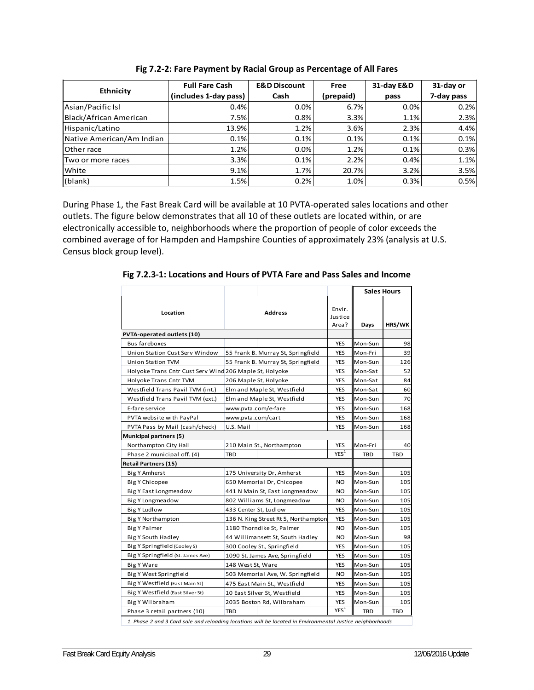| <b>Ethnicity</b>          | <b>Full Fare Cash</b> | <b>E&amp;D Discount</b> | Free      | 31-day E&D | 31-day or  |
|---------------------------|-----------------------|-------------------------|-----------|------------|------------|
|                           | (includes 1-day pass) | Cash                    | (prepaid) | pass       | 7-day pass |
| Asian/Pacific Isl         | 0.4%                  | 0.0%                    | 6.7%      | 0.0%       | 0.2%       |
| Black/African American    | 7.5%                  | 0.8%                    | 3.3%      | 1.1%       | 2.3%       |
| Hispanic/Latino           | 13.9%                 | 1.2%                    | 3.6%      | 2.3%       | 4.4%       |
| Native American/Am Indian | 0.1%                  | 0.1%                    | 0.1%      | 0.1%       | 0.1%       |
| Other race                | 1.2%                  | 0.0%                    | 1.2%      | 0.1%       | 0.3%       |
| Two or more races         | 3.3%                  | 0.1%                    | 2.2%      | 0.4%       | 1.1%       |
| White                     | 9.1%                  | 1.7%                    | 20.7%     | 3.2%       | 3.5%       |
| (blank)                   | 1.5%                  | 0.2%                    | 1.0%      | 0.3%       | 0.5%       |

**Fig 7.2‐2: Fare Payment by Racial Group as Percentage of All Fares**

During Phase 1, the Fast Break Card will be available at 10 PVTA‐operated sales locations and other outlets. The figure below demonstrates that all 10 of these outlets are located within, or are electronically accessible to, neighborhoods where the proportion of people of color exceeds the combined average of for Hampden and Hampshire Counties of approximately 23% (analysis at U.S. Census block group level).

|                                                         |                       |                                      |                            |            | <b>Sales Hours</b> |
|---------------------------------------------------------|-----------------------|--------------------------------------|----------------------------|------------|--------------------|
| Location                                                |                       | <b>Address</b>                       | Envir.<br>Justice<br>Area? | Days       | HRS/WK             |
| <b>PVTA-operated outlets (10)</b>                       |                       |                                      |                            |            |                    |
| <b>Bus fareboxes</b>                                    |                       |                                      | YES                        | Mon-Sun    | 98                 |
| Union Station Cust Serv Window                          |                       | 55 Frank B. Murray St, Springfield   | YES                        | Mon-Fri    | 39                 |
| Union Station TVM                                       |                       | 55 Frank B. Murray St, Springfield   | YES                        | Mon-Sun    | 126                |
| Holyoke Trans Cntr Cust Serv Wind 206 Maple St, Holyoke |                       |                                      | YES                        | Mon-Sat    | 52                 |
| Holyoke Trans Cntr TVM                                  |                       | 206 Maple St, Holyoke                | YES                        | Mon-Sat    | 84                 |
| Westfield Trans Pavil TVM (int.)                        |                       | Elm and Maple St, Westfield          | <b>YES</b>                 | Mon-Sat    | 60                 |
| Westfield Trans Pavil TVM (ext.)                        |                       | Elm and Maple St, Westfield          | <b>YES</b>                 | Mon-Sun    | 70                 |
| E-fare service                                          | www.pvta.com/e-fare   |                                      | <b>YES</b>                 | Mon-Sun    | 168                |
| PVTA website with PayPal                                | www.pvta.com/cart     |                                      | YES                        | Mon-Sun    | 168                |
| PVTA Pass by Mail (cash/check)                          | U.S. Mail             |                                      | <b>YES</b>                 | Mon-Sun    | 168                |
| Municipal partners (5)                                  |                       |                                      |                            |            |                    |
| Northampton City Hall                                   |                       | 210 Main St., Northampton            | YES                        | Mon-Fri    | 40                 |
| Phase 2 municipal off. (4)                              | <b>TBD</b>            |                                      | $\mathsf{YES}^1$           | TBD        | <b>TBD</b>         |
| <b>Retail Partners (15)</b>                             |                       |                                      |                            |            |                    |
| Big Y Amherst                                           |                       | 175 University Dr, Amherst           | YES                        | Mon-Sun    | 105                |
| Big Y Chicopee                                          |                       | 650 Memorial Dr, Chicopee            | <b>NO</b>                  | Mon-Sun    | 105                |
| Big Y East Longmeadow                                   |                       | 441 N Main St, East Longmeadow       | <b>NO</b>                  | Mon-Sun    | 105                |
| Big Y Longmeadow                                        |                       | 802 Williams St, Longmeadow          | <b>NO</b>                  | Mon-Sun    | 105                |
| <b>Big Y Ludlow</b>                                     | 433 Center St, Ludlow |                                      | YES                        | Mon-Sun    | 105                |
| <b>Big Y Northampton</b>                                |                       | 136 N. King Street Rt 5, Northampton | <b>YES</b>                 | Mon-Sun    | 105                |
| Big Y Palmer                                            |                       | 1180 Thorndike St, Palmer            | NO.                        | Mon-Sun    | 105                |
| Big Y South Hadley                                      |                       | 44 Willimansett St, South Hadley     | NO.                        | Mon-Sun    | 98                 |
| Big Y Springfield (Cooley S)                            |                       | 300 Cooley St., Springfield          | <b>YES</b>                 | Mon-Sun    | 105                |
| Big Y Springfield (St. James Ave)                       |                       | 1090 St. James Ave, Springfield      | YES                        | Mon-Sun    | 105                |
| Big Y Ware                                              | 148 West St, Ware     |                                      | YES                        | Mon-Sun    | 105                |
| Big Y West Springfield                                  |                       | 503 Memorial Ave, W. Springfield     | <b>NO</b>                  | Mon-Sun    | 105                |
| Big Y Westfield (East Main St)                          |                       | 475 East Main St., Westfield         | YES                        | Mon-Sun    | 105                |
| Big Y Westfield (East Silver St)                        |                       | 10 East Silver St, Westfield         | YES                        | Mon-Sun    | 105                |
| Big Y Wilbraham                                         |                       | 2035 Boston Rd, Wilbraham            | YES                        | Mon-Sun    | 105                |
| Phase 3 retail partners (10)                            | <b>TBD</b>            |                                      | YES <sup>1</sup>           | <b>TBD</b> | <b>TBD</b>         |

**Fig 7.2.3‐1: Locations and Hours of PVTA Fare and Pass Sales and Income**

*1. Phase 2 and 3 Card sale and reloading locations will be located in Environmental Justice neighborhoods*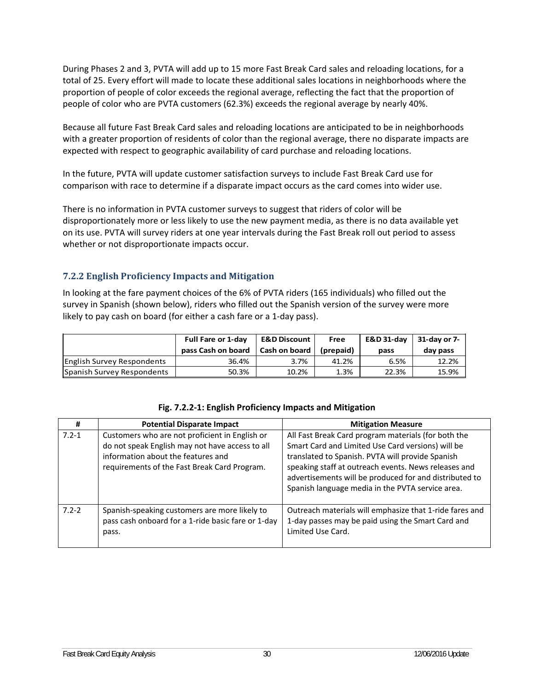During Phases 2 and 3, PVTA will add up to 15 more Fast Break Card sales and reloading locations, for a total of 25. Every effort will made to locate these additional sales locations in neighborhoods where the proportion of people of color exceeds the regional average, reflecting the fact that the proportion of people of color who are PVTA customers (62.3%) exceeds the regional average by nearly 40%.

Because all future Fast Break Card sales and reloading locations are anticipated to be in neighborhoods with a greater proportion of residents of color than the regional average, there no disparate impacts are expected with respect to geographic availability of card purchase and reloading locations.

In the future, PVTA will update customer satisfaction surveys to include Fast Break Card use for comparison with race to determine if a disparate impact occurs as the card comes into wider use.

There is no information in PVTA customer surveys to suggest that riders of color will be disproportionately more or less likely to use the new payment media, as there is no data available yet on its use. PVTA will survey riders at one year intervals during the Fast Break roll out period to assess whether or not disproportionate impacts occur.

## **7.2.2 English Proficiency Impacts and Mitigation**

In looking at the fare payment choices of the 6% of PVTA riders (165 individuals) who filled out the survey in Spanish (shown below), riders who filled out the Spanish version of the survey were more likely to pay cash on board (for either a cash fare or a 1‐day pass).

|                                   | <b>Full Fare or 1-day</b><br>pass Cash on board | <b>E&amp;D Discount</b><br>Cash on board | Free<br>(prepaid) | <b>E&amp;D 31-day</b><br>pass | 31-day or 7-<br>day pass |
|-----------------------------------|-------------------------------------------------|------------------------------------------|-------------------|-------------------------------|--------------------------|
| <b>English Survey Respondents</b> | 36.4%                                           | 3.7%                                     | 41.2%             | 6.5%                          | 12.2%                    |
| Spanish Survey Respondents        | 50.3%                                           | 10.2%                                    | 1.3%              | 22.3%                         | 15.9%                    |

| #         | <b>Potential Disparate Impact</b>                                                                                                                                                       | <b>Mitigation Measure</b>                                                                                                                                                                                                                                                                                                          |
|-----------|-----------------------------------------------------------------------------------------------------------------------------------------------------------------------------------------|------------------------------------------------------------------------------------------------------------------------------------------------------------------------------------------------------------------------------------------------------------------------------------------------------------------------------------|
| $7.2 - 1$ | Customers who are not proficient in English or<br>do not speak English may not have access to all<br>information about the features and<br>requirements of the Fast Break Card Program. | All Fast Break Card program materials (for both the<br>Smart Card and Limited Use Card versions) will be<br>translated to Spanish. PVTA will provide Spanish<br>speaking staff at outreach events. News releases and<br>advertisements will be produced for and distributed to<br>Spanish language media in the PVTA service area. |
| $7.2 - 2$ | Spanish-speaking customers are more likely to<br>pass cash onboard for a 1-ride basic fare or 1-day<br>pass.                                                                            | Outreach materials will emphasize that 1-ride fares and<br>1-day passes may be paid using the Smart Card and<br>Limited Use Card.                                                                                                                                                                                                  |

#### **Fig. 7.2.2‐1: English Proficiency Impacts and Mitigation**